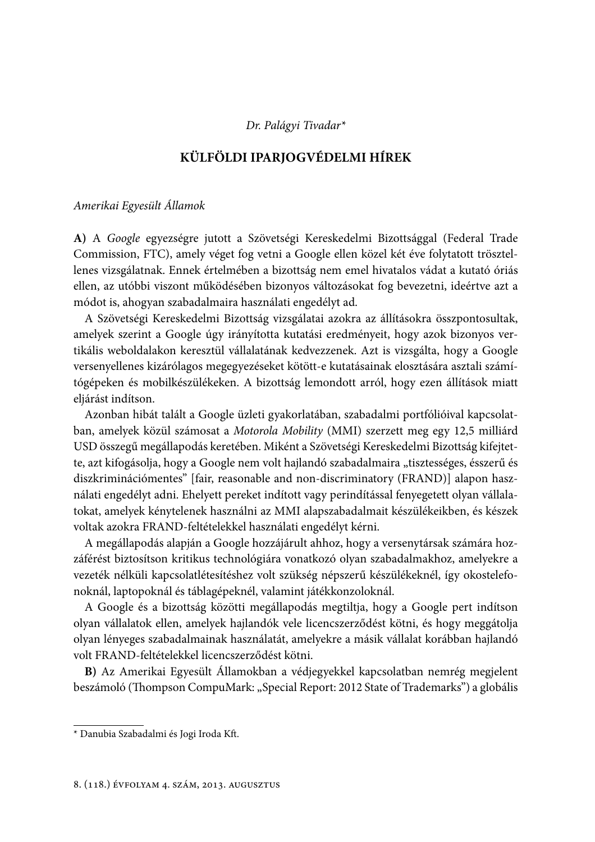Dr. Palágyi Tivadar\*

# KÜLFÖLDI IPARJOGVÉDELMI HÍREK

### Amerikai Egyesült Államok

A) A Google egyezségre jutott a Szövetségi Kereskedelmi Bizottsággal (Federal Trade Commission, FTC), amely véget fog vetni a Google ellen közel két éve folytatott trösztellenes vizsgálatnak. Ennek értelmében a bizottság nem emel hivatalos vádat a kutató óriás ellen, az utóbbi viszont működésében bizonyos változásokat fog bevezetni, ideértve azt a módot is, ahogyan szabadalmaira használati engedélyt ad.

A Szövetségi Kereskedelmi Bizottság vizsgálatai azokra az állításokra összpontosultak, amelyek szerint a Google úgy irányította kutatási eredményeit, hogy azok bizonyos vertikális weboldalakon keresztül vállalatának kedvezzenek. Azt is vizsgálta, hogy a Google versenvellenes kizárólagos megegyezéseket kötött-e kutatásainak elosztására asztali számítógépeken és mobilkészülékeken. A bizottság lemondott arról, hogy ezen állítások miatt eljárást indítson.

Azonban hibát talált a Google üzleti gyakorlatában, szabadalmi portfólióival kapcsolatban, amelyek közül számosat a Motorola Mobility (MMI) szerzett meg egy 12,5 milliárd USD összegű megállapodás keretében. Miként a Szövetségi Kereskedelmi Bizottság kifejtette, azt kifogásolja, hogy a Google nem volt hajlandó szabadalmaira "tisztességes, ésszerű és diszkriminációmentes" [fair, reasonable and non-discriminatory (FRAND)] alapon használati engedélyt adni. Ehelyett pereket indított vagy perindítással fenyegetett olyan vállalatokat, amelyek kénytelenek használni az MMI alapszabadalmait készülékeikben, és készek voltak azokra FRAND-feltételekkel használati engedélyt kérni.

A megállapodás alapján a Google hozzájárult ahhoz, hogy a versenytársak számára hozzáférést biztosítson kritikus technológiára vonatkozó olyan szabadalmakhoz, amelyekre a vezeték nélküli kapcsolatlétesítéshez volt szükség népszerű készülékeknél, így okostelefonoknál, laptopoknál és táblagépeknél, valamint játékkonzoloknál.

A Google és a bizottság közötti megállapodás megtiltja, hogy a Google pert indítson olyan vállalatok ellen, amelyek hajlandók vele licencszerződést kötni, és hogy meggátolja olyan lényeges szabadalmainak használatát, amelyekre a másik vállalat korábban hajlandó volt FRAND-feltételekkel licencszerződést kötni.

B) Az Amerikai Egyesült Államokban a védjegyekkel kapcsolatban nemrég megjelent beszámoló (Thompson CompuMark: "Special Report: 2012 State of Trademarks") a globális

<sup>\*</sup> Danubia Szabadalmi és Jogi Iroda Kft.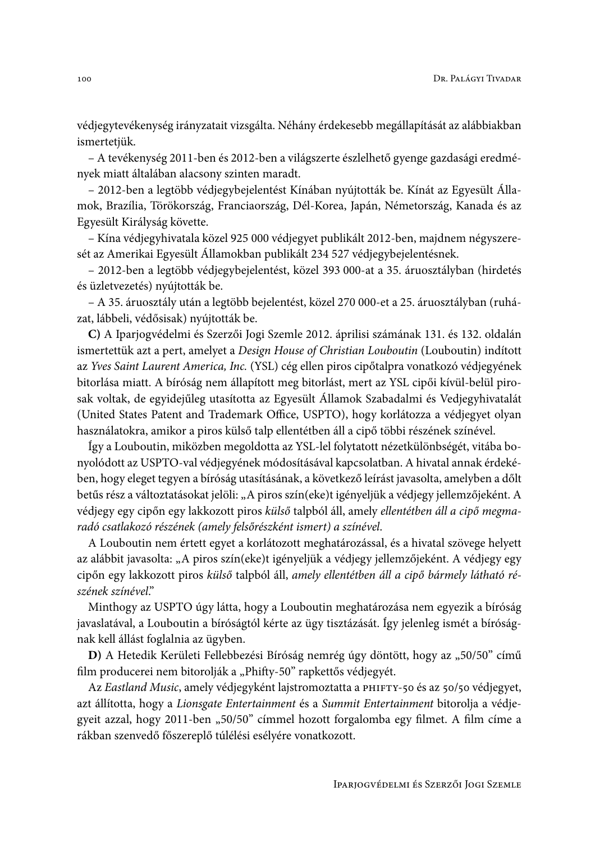védjegytevékenység irányzatait vizsgálta. Néhány érdekesebb megállapítását az alábbiakban ismertetjük.

- A tevékenység 2011-ben és 2012-ben a világszerte észlelhető gyenge gazdasági eredmények miatt általában alacsony szinten maradt.

- 2012-ben a legtöbb védjegybejelentést Kínában nyújtották be. Kínát az Egyesült Államok, Brazília, Törökország, Franciaország, Dél-Korea, Japán, Németország, Kanada és az Egyesült Királyság követte.

- Kína védjegyhivatala közel 925 000 védjegyet publikált 2012-ben, majdnem négyszeresét az Amerikai Egyesült Államokban publikált 234 527 védjegybejelentésnek.

- 2012-ben a legtöbb védjegybejelentést, közel 393 000-at a 35. áruosztályban (hirdetés és üzletvezetés) nyújtották be.

- A 35. áruosztály után a legtöbb bejelentést, közel 270 000-et a 25. áruosztályban (ruházat, lábbeli, védősisak) nyújtották be.

C) A Iparjogvédelmi és Szerzői Jogi Szemle 2012. áprilisi számának 131. és 132. oldalán ismertettük azt a pert, amelyet a Design House of Christian Louboutin (Louboutin) inditott az Yves Saint Laurent America, Inc. (YSL) cég ellen piros cipőtalpra vonatkozó védjegyének bitorlása miatt. A bíróság nem állapított meg bitorlást, mert az YSL cipői kívül-belül pirosak voltak, de egyidejűleg utasította az Egyesült Államok Szabadalmi és Vedjegyhivatalát (United States Patent and Trademark Office, USPTO), hogy korlátozza a védjegyet olyan használatokra, amikor a piros külső talp ellentétben áll a cipő többi részének színével.

Így a Louboutin, miközben megoldotta az YSL-lel folytatott nézetkülönbségét, vitába bonyolódott az USPTO-val védjegyének módosításával kapcsolatban. A hivatal annak érdekében, hogy eleget tegyen a bíróság utasításának, a következő leírást javasolta, amelyben a dőlt betűs rész a változtatásokat jelöli: "A piros szín(eke)t igényeljük a védjegy jellemzőjeként. A védjegy egy cipőn egy lakkozott piros külső talpból áll, amely ellentétben áll a cipő megmaradó csatlakozó részének (amely felsőrészként ismert) a színével.

A Louboutin nem értett egyet a korlátozott meghatározással, és a hivatal szövege helyett az alábbit javasolta: "A piros szín(eke)t igényeljük a védjegy jellemzőjeként. A védjegy egy cipőn egy lakkozott piros külső talpból áll, amely ellentétben áll a cipő bármely látható részének színével."

Minthogy az USPTO úgy látta, hogy a Louboutin meghatározása nem egyezik a bíróság javaslatával, a Louboutin a bíróságtól kérte az ügy tisztázását. Így jelenleg ismét a bíróságnak kell állást foglalnia az ügyben.

D) A Hetedik Kerületi Fellebbezési Bíróság nemrég úgy döntött, hogy az "50/50" című film producerei nem bitorolják a "Phifty-50" rapkettős védjegyét.

Az Eastland Music, amely védjegyként lajstromoztatta a PHIFTY-50 és az 50/50 védjegyet, azt állította, hogy a Lionsgate Entertainment és a Summit Entertainment bitorolja a védjegyeit azzal, hogy 2011-ben "50/50" címmel hozott forgalomba egy filmet. A film címe a rákban szenvedő főszereplő túlélési esélyére vonatkozott.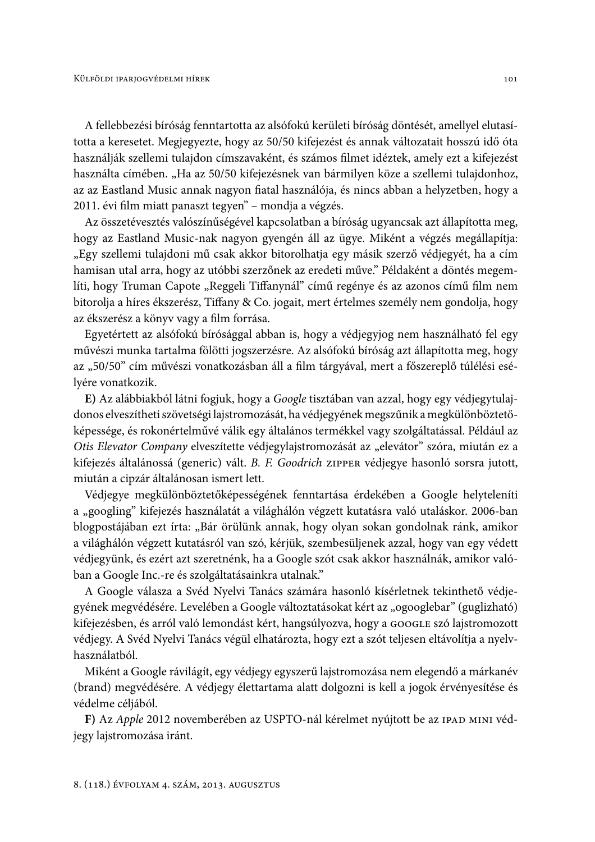A fellebbezési bíróság fenntartotta az alsófokú kerületi bíróság döntését, amellyel elutasította a keresetet. Megjegyezte, hogy az 50/50 kifejezést és annak változatait hosszú idő óta használják szellemi tulajdon címszavaként, és számos filmet idéztek, amely ezt a kifejezést használta címében. "Ha az 50/50 kifejezésnek van bármilyen köze a szellemi tulajdonhoz, az az Eastland Music annak nagyon fiatal használója, és nincs abban a helyzetben, hogy a 2011. évi film miatt panaszt tegyen" – mondja a végzés.

Az összetévesztés valószínűségével kapcsolatban a bíróság ugyancsak azt állapította meg, hogy az Eastland Music-nak nagyon gyengén áll az ügye. Miként a végzés megállapítja: "Egy szellemi tulajdoni mű csak akkor bitorolhatja egy másik szerző védjegyét, ha a cím hamisan utal arra, hogy az utóbbi szerzőnek az eredeti műve." Példaként a döntés megemlíti, hogy Truman Capote "Reggeli Tiffanynál" című regénye és az azonos című film nem bitorolja a híres ékszerész, Tiffany & Co. jogait, mert értelmes személy nem gondolja, hogy az ékszerész a könyv vagy a film forrása.

Egyetértett az alsófokú bírósággal abban is, hogy a védjegyjog nem használható fel egy művészi munka tartalma fölötti jogszerzésre. Az alsófokú bíróság azt állapította meg, hogy az "50/50" cím művészi vonatkozásban áll a film tárgyával, mert a főszereplő túlélési esélyére vonatkozik.

E) Az alábbiakból látni fogjuk, hogy a Google tisztában van azzal, hogy egy védjegytulajdonos elveszítheti szövetségi lajstromozását, ha védjegyének megszűnik a megkülönböztetőképessége, és rokonértelművé válik egy általános termékkel vagy szolgáltatással. Például az Otis Elevator Company elveszítette védjegylajstromozását az "elevátor" szóra, miután ez a kifejezés általánossá (generic) vált. B. F. Goodrich zIPPER védjegye hasonló sorsra jutott, miután a cipzár általánosan ismert lett.

Védjegye megkülönböztetőképességének fenntartása érdekében a Google helyteleníti a "googling" kifejezés használatát a világhálón végzett kutatásra való utaláskor. 2006-ban blogpostájában ezt írta: "Bár örülünk annak, hogy olyan sokan gondolnak ránk, amikor a világhálón végzett kutatásról van szó, kérjük, szembesüljenek azzal, hogy van egy védett védjegyünk, és ezért azt szeretnénk, ha a Google szót csak akkor használnák, amikor valóban a Google Inc.-re és szolgáltatásainkra utalnak."

A Google válasza a Svéd Nyelvi Tanács számára hasonló kísérletnek tekinthető védjegyének megvédésére. Levelében a Google változtatásokat kért az "ogooglebar" (guglizható) kifejezésben, és arról való lemondást kért, hangsúlyozva, hogy a GOOGLE szó lajstromozott védjegy. A Svéd Nyelvi Tanács végül elhatározta, hogy ezt a szót teljesen eltávolítja a nyelvhasználatból

Miként a Google rávilágít, egy védjegy egyszerű lajstromozása nem elegendő a márkanév (brand) megvédésére. A védjegy élettartama alatt dolgozni is kell a jogok érvényesítése és védelme céljából.

F) Az Apple 2012 novemberében az USPTO-nál kérelmet nyújtott be az IPAD MINI védjegy lajstromozása iránt.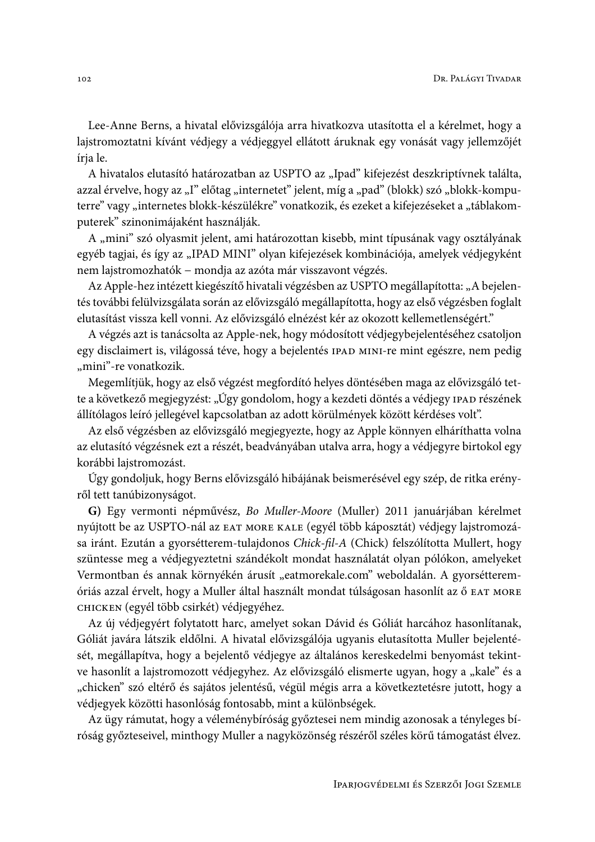Lee-Anne Berns, a hivatal elővizsgálója arra hivatkozva utasította el a kérelmet, hogy a lajstromoztatni kívánt védjegy a védjeggyel ellátott áruknak egy vonását vagy jellemzőjét írja le.

A hivatalos elutasító határozatban az USPTO az "Ipad" kifejezést deszkriptívnek találta, azzal érvelve, hogy az "I" előtag "internetet" jelent, míg a "pad" (blokk) szó "blokk-komputerre" vagy "internetes blokk-készülékre" vonatkozik, és ezeket a kifejezéseket a "táblakomputerek" szinonimájaként használják.

A "mini" szó olyasmit jelent, ami határozottan kisebb, mint típusának vagy osztályának egyéb tagjai, és így az "IPAD MINI" olyan kifejezések kombinációja, amelyek védjegyként nem lajstromozhatók – mondja az azóta már visszavont végzés.

Az Apple-hez intézett kiegészítő hivatali végzésben az USPTO megállapította: "A bejelentés további felülvizsgálata során az elővizsgáló megállapította, hogy az első végzésben foglalt elutasítást vissza kell vonni. Az elővizsgáló elnézést kér az okozott kellemetlenségért."

A végzés azt is tanácsolta az Apple-nek, hogy módosított védjegybejelentéséhez csatoljon egy disclaimert is, világossá téve, hogy a bejelentés IPAD MINI-re mint egészre, nem pedig "mini"-re vonatkozik.

Megemlítjük, hogy az első végzést megfordító helyes döntésében maga az elővizsgáló tette a következő megjegyzést: "Úgy gondolom, hogy a kezdeti döntés a védjegy IPAD részének állítólagos leíró jellegével kapcsolatban az adott körülmények között kérdéses volt".

Az első végzésben az elővizsgáló megjegyezte, hogy az Apple könnyen elháríthatta volna az elutasító végzésnek ezt a részét, beadványában utalva arra, hogy a védjegyre birtokol egy korábbi lajstromozást.

Úgy gondoljuk, hogy Berns elővizsgáló hibájának beismerésével egy szép, de ritka erényről tett tanúbizonyságot.

G) Egy vermonti népművész, Bo Muller-Moore (Muller) 2011 januárjában kérelmet nyújtott be az USPTO-nál az EAT MORE KALE (egyél több káposztát) védjegy lajstromozása iránt. Ezután a gyorsétterem-tulajdonos Chick-fil-A (Chick) felszólította Mullert, hogy szüntesse meg a védjegyeztetni szándékolt mondat használatát olyan pólókon, amelyeket Vermontban és annak környékén árusít "eatmorekale.com" weboldalán. A gyorsétteremóriás azzal érvelt, hogy a Muller által használt mondat túlságosan hasonlít az ő EAT MORE CHICKEN (egyél több csirkét) védjegyéhez.

Az új védjegyért folytatott harc, amelyet sokan Dávid és Góliát harcához hasonlítanak, Góliát javára látszik eldőlni. A hivatal elővizsgálója ugyanis elutasította Muller bejelentését, megállapítva, hogy a bejelentő védjegye az általános kereskedelmi benyomást tekintve hasonlít a lajstromozott védjegyhez. Az elővizsgáló elismerte ugyan, hogy a "kale" és a "chicken" szó eltérő és sajátos jelentésű, végül mégis arra a következtetésre jutott, hogy a védjegyek közötti hasonlóság fontosabb, mint a különbségek.

Az ügy rámutat, hogy a véleménybíróság győztesei nem mindig azonosak a tényleges bíróság győzteseivel, minthogy Muller a nagyközönség részéről széles körű támogatást élvez.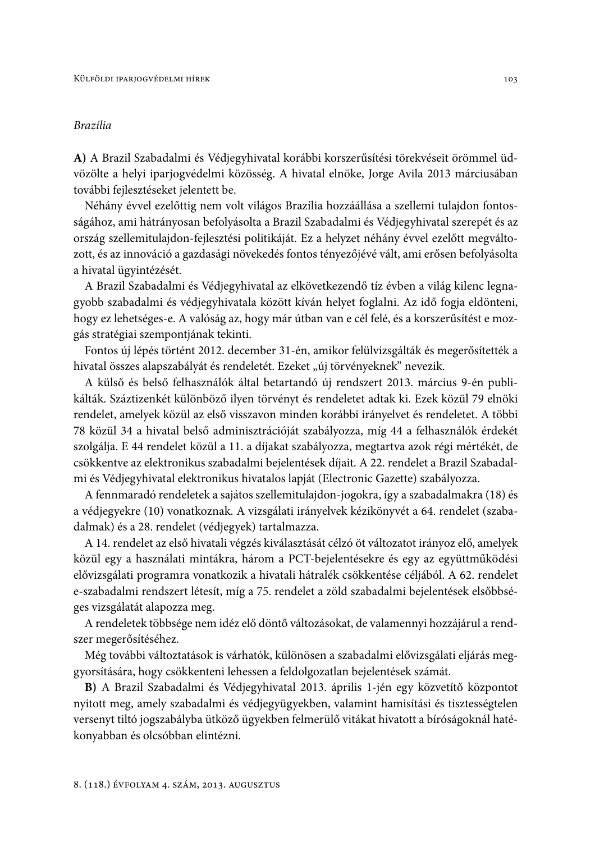## **Brazília**

A) A Brazil Szabadalmi és Védjegyhivatal korábbi korszerűsítési törekvéseit örömmel üdvözölte a helyi iparjogvédelmi közösség. A hivatal elnöke, Jorge Avila 2013 márciusában további fejlesztéseket jelentett be.

Néhány évvel ezelőttig nem volt világos Brazília hozzáállása a szellemi tulajdon fontosságához, ami hátrányosan befolyásolta a Brazil Szabadalmi és Védjegyhivatal szerepét és az ország szellemitulajdon-fejlesztési politikáját. Ez a helyzet néhány évvel ezelőtt megváltozott, és az innováció a gazdasági növekedés fontos tényezőjévé vált, ami erősen befolyásolta a hivatal ügyintézését.

A Brazil Szabadalmi és Védjegyhivatal az elkövetkezendő tíz évben a világ kilenc legnagyobb szabadalmi és védjegyhivatala között kíván helyet foglalni. Az idő fogja eldönteni, hogy ez lehetséges-e. A valóság az, hogy már útban van e cél felé, és a korszerűsítést e mozgás stratégiai szempontjának tekinti.

Fontos új lépés történt 2012. december 31-én, amikor felülvizsgálták és megerősítették a hivatal összes alapszabályát és rendeletét. Ezeket "új törvényeknek" nevezik.

A külső és belső felhasználók által betartandó új rendszert 2013. március 9-én publikálták. Száztizenkét különböző ilyen törvényt és rendeletet adtak ki. Ezek közül 79 elnöki rendelet, amelyek közül az első visszavon minden korábbi irányelvet és rendeletet. A többi 78 közül 34 a hivatal belső adminisztrációját szabályozza, míg 44 a felhasználók érdekét szolgálja. E 44 rendelet közül a 11. a díjakat szabályozza, megtartva azok régi mértékét, de csökkentve az elektronikus szabadalmi bejelentések díjait. A 22. rendelet a Brazil Szabadalmi és Védjegyhivatal elektronikus hivatalos lapját (Electronic Gazette) szabályozza.

A fennmaradó rendeletek a sajátos szellemitulajdon-jogokra, így a szabadalmakra (18) és a védjegyekre (10) vonatkoznak. A vizsgálati irányelvek kézikönyvét a 64. rendelet (szabadalmak) és a 28. rendelet (védjegyek) tartalmazza.

A 14. rendelet az első hivatali végzés kiválasztását célzó öt változatot irányoz elő, amelyek közül egy a használati mintákra, három a PCT-bejelentésekre és egy az együttműködési elővizsgálati programra vonatkozik a hivatali hátralék csökkentése céljából. A 62. rendelet e-szabadalmi rendszert létesít, míg a 75. rendelet a zöld szabadalmi bejelentések elsőbbséges vizsgálatát alapozza meg.

A rendeletek többsége nem idéz elő döntő változásokat, de valamennyi hozzájárul a rendszer megerősítéséhez.

Még további változtatások is várhatók, különösen a szabadalmi elővizsgálati eljárás meggyorsítására, hogy csökkenteni lehessen a feldolgozatlan bejelentések számát.

B) A Brazil Szabadalmi és Védjegyhivatal 2013. április 1-jén egy közvetítő központot nyitott meg, amely szabadalmi és védjegyügyekben, valamint hamisítási és tisztességtelen versenyt tiltó jogszabályba ütköző ügyekben felmerülő vitákat hivatott a bíróságoknál hatékonyabban és olcsóbban elintézni.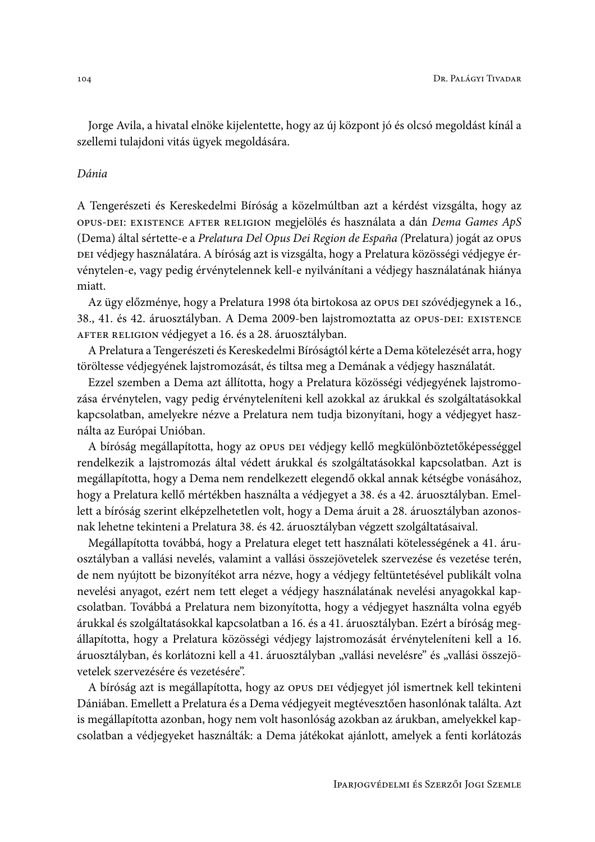Jorge Avila, a hivatal elnöke kijelentette, hogy az új központ jó és olcsó megoldást kínál a szellemi tulajdoni vitás ügyek megoldására.

## Dánia

A Tengerészeti és Kereskedelmi Bíróság a közelmúltban azt a kérdést vizsgálta, hogy az OPUS-DEI: EXISTENCE AFTER RELIGION megjelölés és használata a dán Dema Games ApS (Dema) által sértette-e a Prelatura Del Opus Dei Region de España (Prelatura) jogát az OPUS DEI védjegy használatára. A bíróság azt is vizsgálta, hogy a Prelatura közösségi védjegye érvénytelen-e, vagy pedig érvénytelennek kell-e nyilvánítani a védjegy használatának hiánya miatt.

Az ügy előzménye, hogy a Prelatura 1998 óta birtokosa az opus pel szóvédjegynek a 16., 38., 41. és 42. áruosztályban. A Dema 2009-ben lajstromoztatta az OPUS-DEI: EXISTENCE AFTER RELIGION védjegyet a 16. és a 28. áruosztályban.

A Prelatura a Tengerészeti és Kereskedelmi Bíróságtól kérte a Dema kötelezését arra, hogy töröltesse védjegyének lajstromozását, és tiltsa meg a Demának a védjegy használatát.

Ezzel szemben a Dema azt állította, hogy a Prelatura közösségi védjegyének lajstromozása érvénytelen, vagy pedig érvényteleníteni kell azokkal az árukkal és szolgáltatásokkal kapcsolatban, amelyekre nézve a Prelatura nem tudja bizonyítani, hogy a védjegyet használta az Európai Unióban.

A bíróság megállapította, hogy az opus per védjegy kellő megkülönböztetőképességgel rendelkezik a lajstromozás által védett árukkal és szolgáltatásokkal kapcsolatban. Azt is megállapította, hogy a Dema nem rendelkezett elegendő okkal annak kétségbe vonásához, hogy a Prelatura kellő mértékben használta a védjegyet a 38. és a 42. áruosztályban. Emellett a bíróság szerint elképzelhetetlen volt, hogy a Dema áruit a 28. áruosztályban azonosnak lehetne tekinteni a Prelatura 38. és 42. áruosztályban végzett szolgáltatásaival.

Megállapította továbbá, hogy a Prelatura eleget tett használati kötelességének a 41. áruosztályban a vallási nevelés, valamint a vallási összejövetelek szervezése és vezetése terén, de nem nyújtott be bizonyítékot arra nézve, hogy a védjegy feltüntetésével publikált volna nevelési anyagot, ezért nem tett eleget a védjegy használatának nevelési anyagokkal kapcsolatban. Továbbá a Prelatura nem bizonyította, hogy a védjegyet használta volna egyéb árukkal és szolgáltatásokkal kapcsolatban a 16. és a 41. áruosztályban. Ezért a bíróság megállapította, hogy a Prelatura közösségi védjegy lajstromozását érvényteleníteni kell a 16. áruosztályban, és korlátozni kell a 41. áruosztályban "vallási nevelésre" és "vallási összejövetelek szervezésére és vezetésére".

A bíróság azt is megállapította, hogy az opus DEI védjegyet jól ismertnek kell tekinteni Dániában. Emellett a Prelatura és a Dema védjegyeit megtévesztően hasonlónak találta. Azt is megállapította azonban, hogy nem volt hasonlóság azokban az árukban, amelyekkel kapcsolatban a védjegyeket használták: a Dema játékokat ajánlott, amelyek a fenti korlátozás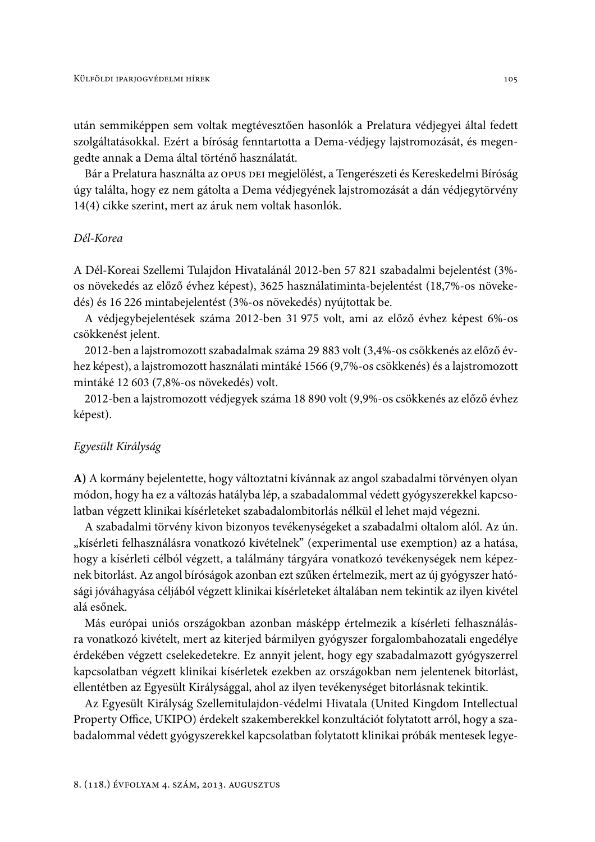után semmiképpen sem voltak megtévesztően hasonlók a Prelatura védjegyei által fedett szolgáltatásokkal. Ezért a bíróság fenntartotta a Dema-védjegy lajstromozását, és megengedte annak a Dema által történő használatát.

Bár a Prelatura használta az OPUS DEI megjelölést, a Tengerészeti és Kereskedelmi Bíróság úgy találta, hogy ez nem gátolta a Dema védjegyének lajstromozását a dán védjegytörvény 14(4) cikke szerint, mert az áruk nem voltak hasonlók.

### Dél-Korea

A Dél-Koreai Szellemi Tulajdon Hivatalánál 2012-ben 57 821 szabadalmi bejelentést (3%os növekedés az előző évhez képest), 3625 használatiminta-bejelentést (18,7%-os növekedés) és 16 226 mintabejelentést (3%-os növekedés) nyújtottak be.

A védjegybejelentések száma 2012-ben 31 975 volt, ami az előző évhez képest 6%-os csökkenést jelent.

2012-ben a lajstromozott szabadalmak száma 29 883 volt (3,4%-os csökkenés az előző évhez képest), a lajstromozott használati mintáké 1566 (9,7%-os csökkenés) és a lajstromozott mintáké 12 603 (7,8%-os növekedés) volt.

2012-ben a lajstromozott védjegyek száma 18 890 volt (9,9%-os csökkenés az előző évhez képest).

# Egyesült Királyság

A) A kormány bejelentette, hogy változtatni kívánnak az angol szabadalmi törvényen olyan módon, hogy ha ez a változás hatályba lép, a szabadalommal védett gyógyszerekkel kapcsolatban végzett klinikai kísérleteket szabadalombitorlás nélkül el lehet majd végezni.

A szabadalmi törvény kivon bizonyos tevékenységeket a szabadalmi oltalom alól. Az ún. "kísérleti felhasználásra vonatkozó kivételnek" (experimental use exemption) az a hatása, hogy a kísérleti célból végzett, a találmány tárgyára vonatkozó tevékenységek nem képeznek bitorlást. Az angol bíróságok azonban ezt szűken értelmezik, mert az új gyógyszer hatósági jóváhagyása céljából végzett klinikai kísérleteket általában nem tekintik az ilyen kivétel alá esőnek.

Más európai uniós országokban azonban másképp értelmezik a kísérleti felhasználásra vonatkozó kivételt, mert az kiterjed bármilyen gyógyszer forgalombahozatali engedélye érdekében végzett cselekedetekre. Ez annyit jelent, hogy egy szabadalmazott gyógyszerrel kapcsolatban végzett klinikai kísérletek ezekben az országokban nem jelentenek bitorlást, ellentétben az Egyesült Királysággal, ahol az ilyen tevékenységet bitorlásnak tekintik.

Az Egyesült Királyság Szellemitulajdon-védelmi Hivatala (United Kingdom Intellectual Property Office, UKIPO) érdekelt szakemberekkel konzultációt folytatott arról, hogy a szabadalommal védett gyógyszerekkel kapcsolatban folytatott klinikai próbák mentesek legye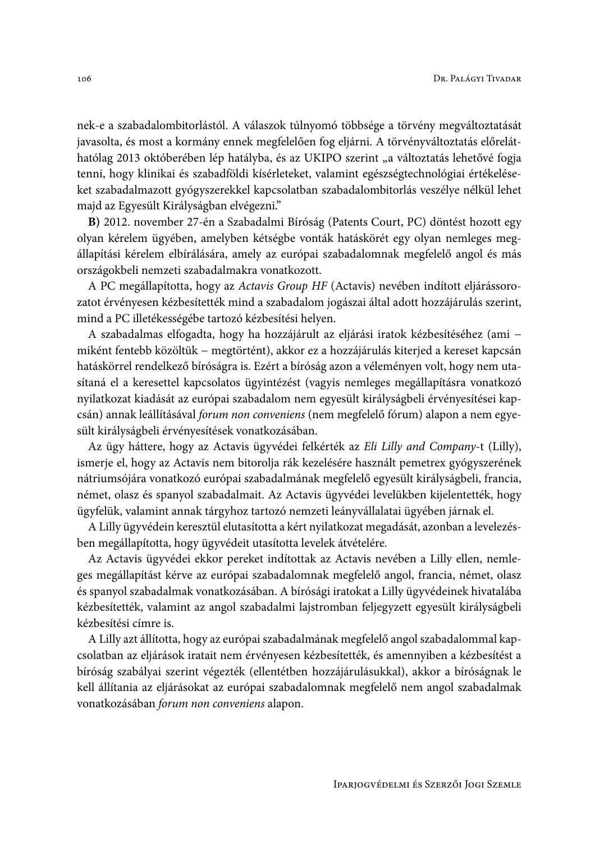nek-e a szabadalombitorlástól. A válaszok túlnyomó többsége a törvény megváltoztatását javasolta, és most a kormány ennek megfelelően fog eljárni. A törvényváltoztatás előreláthatólag 2013 októberében lép hatályba, és az UKIPO szerint "a változtatás lehetővé fogja tenni, hogy klinikai és szabadföldi kísérleteket, valamint egészségtechnológiai értékeléseket szabadalmazott gyógyszerekkel kapcsolatban szabadalombitorlás veszélye nélkül lehet majd az Egyesült Királyságban elvégezni."

B) 2012. november 27-én a Szabadalmi Bíróság (Patents Court, PC) döntést hozott egy olyan kérelem ügyében, amelyben kétségbe vonták hatáskörét egy olyan nemleges megállapítási kérelem elbírálására, amely az európai szabadalomnak megfelelő angol és más országokbeli nemzeti szabadalmakra vonatkozott.

A PC megállapította, hogy az Actavis Group HF (Actavis) nevében indított eljárássorozatot érvényesen kézbesítették mind a szabadalom jogászai által adott hozzájárulás szerint, mind a PC illetékességébe tartozó kézbesítési helyen.

A szabadalmas elfogadta, hogy ha hozzájárult az eljárási iratok kézbesítéséhez (ami miként fentebb közöltük – megtörtént), akkor ez a hozzájárulás kiterjed a kereset kapcsán hatáskörrel rendelkező bíróságra is. Ezért a bíróság azon a véleményen volt, hogy nem utasítaná el a keresettel kapcsolatos ügyintézést (vagyis nemleges megállapításra vonatkozó nyilatkozat kiadását az európai szabadalom nem egyesült királyságbeli érvényesítései kapcsán) annak leállításával forum non conveniens (nem megfelelő fórum) alapon a nem egyesült királyságbeli érvényesítések vonatkozásában.

Az ügy háttere, hogy az Actavis ügyvédei felkérték az Eli Lilly and Company-t (Lilly), ismerje el, hogy az Actavis nem bitorolja rák kezelésére használt pemetrex gyógyszerének nátriumsójára vonatkozó európai szabadalmának megfelelő egyesült királyságbeli, francia, német, olasz és spanyol szabadalmait. Az Actavis ügyvédei levelükben kijelentették, hogy ügyfelük, valamint annak tárgyhoz tartozó nemzeti leányvállalatai ügyében járnak el.

A Lilly ügyvédein keresztül elutasította a kért nyilatkozat megadását, azonban a levelezésben megállapította, hogy ügyvédeit utasította levelek átvételére.

Az Actavis ügyvédei ekkor pereket indítottak az Actavis nevében a Lilly ellen, nemleges megállapítást kérve az európai szabadalomnak megfelelő angol, francia, német, olasz és spanyol szabadalmak vonatkozásában. A bírósági iratokat a Lilly ügyvédeinek hivatalába kézbesítették, valamint az angol szabadalmi lajstromban feljegyzett egyesült királyságbeli kézbesítési címre is.

A Lilly azt állította, hogy az európai szabadalmának megfelelő angol szabadalommal kapcsolatban az eljárások iratait nem érvényesen kézbesítették, és amennyiben a kézbesítést a bíróság szabályai szerint végezték (ellentétben hozzájárulásukkal), akkor a bíróságnak le kell állítania az eljárásokat az európai szabadalomnak megfelelő nem angol szabadalmak vonatkozásában forum non conveniens alapon.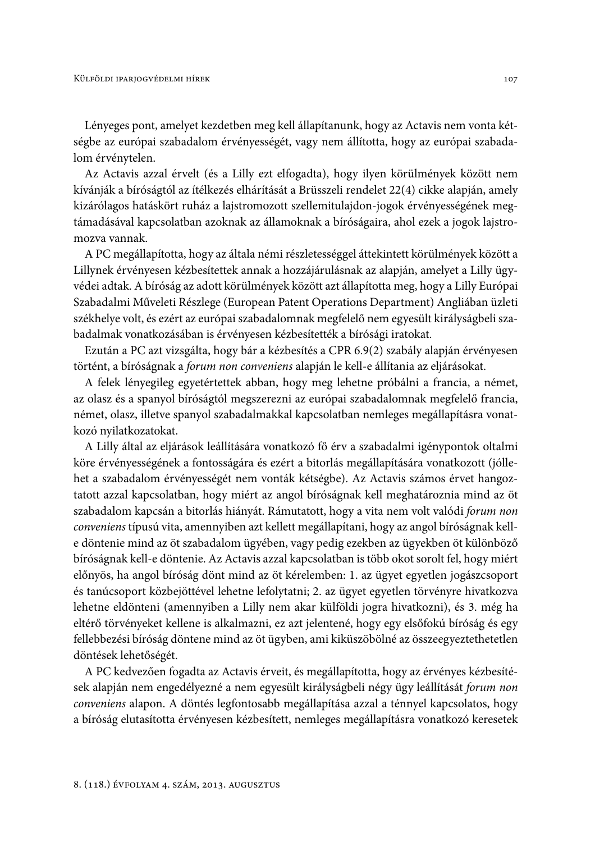Lényeges pont, amelyet kezdetben meg kell állapítanunk, hogy az Actavis nem vonta kétségbe az európai szabadalom érvényességét, vagy nem állította, hogy az európai szabadalom érvénytelen.

Az Actavis azzal érvelt (és a Lilly ezt elfogadta), hogy ilyen körülmények között nem kívánják a bíróságtól az ítélkezés elhárítását a Brüsszeli rendelet 22(4) cikke alapján, amely kizárólagos hatáskört ruház a lajstromozott szellemitulajdon-jogok érvényességének megtámadásával kapcsolatban azoknak az államoknak a bíróságaira, ahol ezek a jogok lajstromozva vannak.

A PC megállapította, hogy az általa némi részletességgel áttekintett körülmények között a Lillynek érvényesen kézbesítettek annak a hozzájárulásnak az alapján, amelyet a Lilly ügyvédei adtak. A bíróság az adott körülmények között azt állapította meg, hogy a Lilly Európai Szabadalmi Műveleti Részlege (European Patent Operations Department) Angliában üzleti székhelye volt, és ezért az európai szabadalomnak megfelelő nem egyesült királyságbeli szabadalmak vonatkozásában is érvényesen kézbesítették a bírósági iratokat.

Ezután a PC azt vizsgálta, hogy bár a kézbesítés a CPR 6.9(2) szabály alapján érvényesen történt, a bíróságnak a forum non conveniens alapján le kell-e állítania az eljárásokat.

A felek lényegileg egyetértettek abban, hogy meg lehetne próbálni a francia, a német, az olasz és a spanyol bíróságtól megszerezni az európai szabadalomnak megfelelő francia, német, olasz, illetve spanyol szabadalmakkal kapcsolatban nemleges megállapításra vonatkozó nyilatkozatokat.

A Lilly által az eljárások leállítására vonatkozó fő érv a szabadalmi igénypontok oltalmi köre érvényességének a fontosságára és ezért a bitorlás megállapítására vonatkozott (jóllehet a szabadalom érvényességét nem vonták kétségbe). Az Actavis számos érvet hangoztatott azzal kapcsolatban, hogy miért az angol bíróságnak kell meghatároznia mind az öt szabadalom kapcsán a bitorlás hiányát. Rámutatott, hogy a vita nem volt valódi forum non conveniens típusú vita, amennyiben azt kellett megállapítani, hogy az angol bíróságnak kelle döntenie mind az öt szabadalom ügyében, vagy pedig ezekben az ügyekben öt különböző bíróságnak kell-e döntenie. Az Actavis azzal kapcsolatban is több okot sorolt fel, hogy miért előnyös, ha angol bíróság dönt mind az öt kérelemben: 1. az ügyet egyetlen jogászcsoport és tanúcsoport közbejöttével lehetne lefolytatni; 2. az ügyet egyetlen törvényre hivatkozva lehetne eldönteni (amennyiben a Lilly nem akar külföldi jogra hivatkozni), és 3. még ha eltérő törvényeket kellene is alkalmazni, ez azt jelentené, hogy egy elsőfokú bíróság és egy fellebbezési bíróság döntene mind az öt ügyben, ami kiküszöbölné az összeegyeztethetetlen döntések lehetőségét.

A PC kedvezően fogadta az Actavis érveit, és megállapította, hogy az érvényes kézbesítések alapján nem engedélyezné a nem egyesült királyságbeli négy ügy leállítását forum non conveniens alapon. A döntés legfontosabb megállapítása azzal a ténnyel kapcsolatos, hogy a bíróság elutasította érvényesen kézbesített, nemleges megállapításra vonatkozó keresetek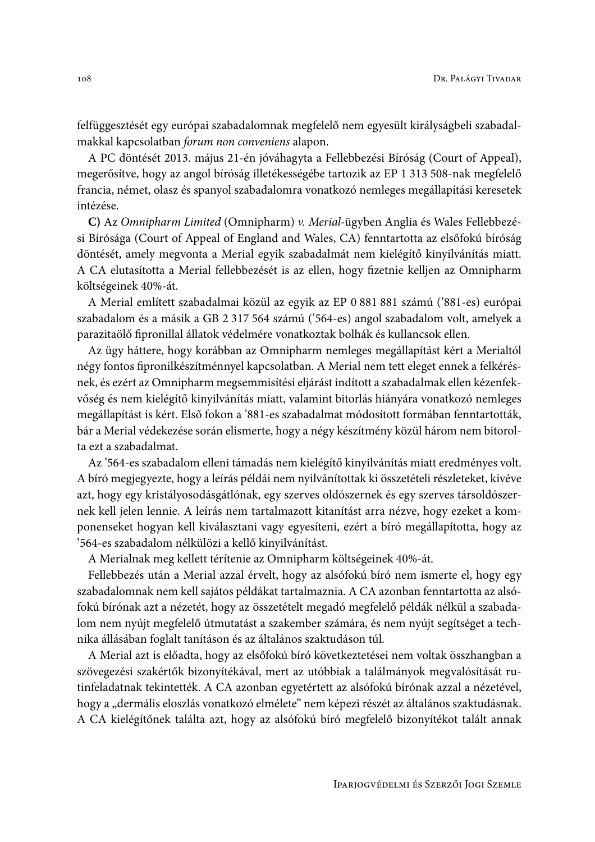felfüggesztését egy európai szabadalomnak megfelelő nem egyesült királyságbeli szabadalmakkal kapcsolatban forum non conveniens alapon.

A PC döntését 2013. május 21-én jóváhagyta a Fellebbezési Bíróság (Court of Appeal), megerősítve, hogy az angol bíróság illetékességébe tartozik az EP 1 313 508-nak megfelelő francia, német, olasz és spanyol szabadalomra vonatkozó nemleges megállapítási keresetek intézése.

C) Az Omnipharm Limited (Omnipharm) v. Merial-ügyben Anglia és Wales Fellebbezési Bírósága (Court of Appeal of England and Wales, CA) fenntartotta az elsőfokú bíróság döntését, amely megvonta a Merial egyik szabadalmát nem kielégítő kinyilvánítás miatt. A CA elutasította a Merial fellebbezését is az ellen, hogy fizetnie kelljen az Omnipharm költségeinek 40%-át.

A Merial említett szabadalmai közül az egyik az EP 0 881 881 számú ('881-es) európai szabadalom és a másik a GB 2 317 564 számú ('564-es) angol szabadalom volt, amelyek a parazitaölő fipronillal állatok védelmére vonatkoztak bolhák és kullancsok ellen.

Az ügy háttere, hogy korábban az Omnipharm nemleges megállapítást kért a Merialtól négy fontos fipronilkészítménnyel kapcsolatban. A Merial nem tett eleget ennek a felkérésnek, és ezért az Omnipharm megsemmisítési eljárást indított a szabadalmak ellen kézenfekvőség és nem kielégítő kinyilvánítás miatt, valamint bitorlás hiányára vonatkozó nemleges megállapítást is kért. Első fokon a '881-es szabadalmat módosított formában fenntartották, bár a Merial védekezése során elismerte, hogy a négy készítmény közül három nem bitorolta ezt a szabadalmat.

Az '564-es szabadalom elleni támadás nem kielégítő kinyilvánítás miatt eredményes volt. A bíró megjegyezte, hogy a leírás példái nem nyilvánítottak ki összetételi részleteket, kivéve azt, hogy egy kristályosodásgátlónak, egy szerves oldószernek és egy szerves társoldószernek kell jelen lennie. A leírás nem tartalmazott kitanítást arra nézve, hogy ezeket a komponenseket hogyan kell kiválasztani vagy egyesíteni, ezért a bíró megállapította, hogy az '564-es szabadalom nélkülözi a kellő kinyilvánítást.

A Merialnak meg kellett térítenie az Omnipharm költségeinek 40%-át.

Fellebbezés után a Merial azzal érvelt, hogy az alsófokú bíró nem ismerte el, hogy egy szabadalomnak nem kell sajátos példákat tartalmaznia. A CA azonban fenntartotta az alsófokú bírónak azt a nézetét, hogy az összetételt megadó megfelelő példák nélkül a szabadalom nem nyújt megfelelő útmutatást a szakember számára, és nem nyújt segítséget a technika állásában foglalt tanításon és az általános szaktudáson túl.

A Merial azt is előadta, hogy az elsőfokú bíró következtetései nem voltak összhangban a szövegezési szakértők bizonyítékával, mert az utóbbiak a találmányok megvalósítását rutinfeladatnak tekintették. A CA azonban egyetértett az alsófokú bírónak azzal a nézetével, hogy a "dermális eloszlás vonatkozó elmélete" nem képezi részét az általános szaktudásnak. A CA kielégítőnek találta azt, hogy az alsófokú bíró megfelelő bizonyítékot talált annak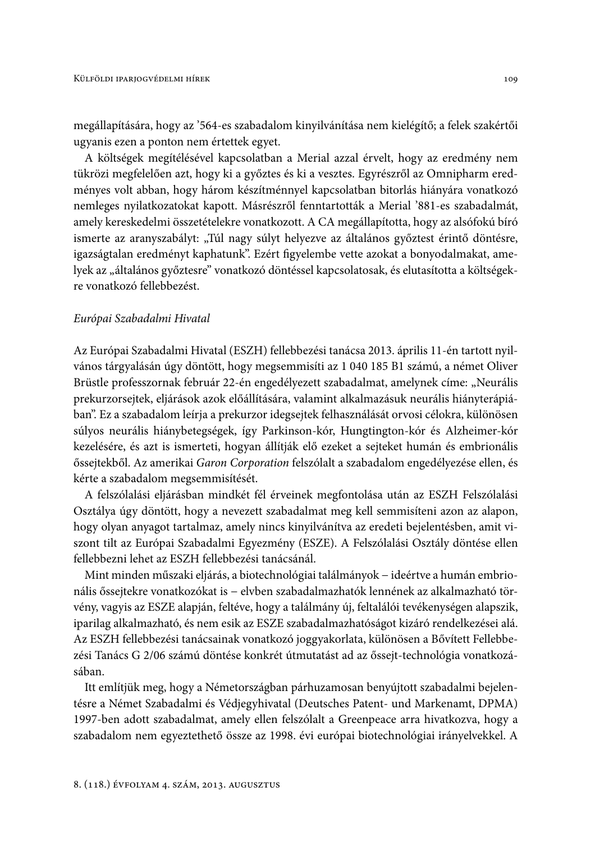megállapítására, hogy az '564-es szabadalom kinyilvánítása nem kielégítő; a felek szakértői ugyanis ezen a ponton nem értettek egyet.

A költségek megítélésével kapcsolatban a Merial azzal érvelt, hogy az eredmény nem tükrözi megfelelően azt, hogy ki a győztes és ki a vesztes. Egyrészről az Omnipharm eredményes volt abban, hogy három készítménnyel kapcsolatban bitorlás hiányára vonatkozó nemleges nyilatkozatokat kapott. Másrészről fenntartották a Merial '881-es szabadalmát, amely kereskedelmi összetételekre vonatkozott. A CA megállapította, hogy az alsófokú bíró ismerte az aranyszabályt: "Túl nagy súlyt helyezve az általános győztest érintő döntésre, igazságtalan eredményt kaphatunk". Ezért figyelembe vette azokat a bonyodalmakat, amelyek az "általános győztesre" vonatkozó döntéssel kapcsolatosak, és elutasította a költségekre vonatkozó fellebbezést.

### Európai Szabadalmi Hivatal

Az Európai Szabadalmi Hivatal (ESZH) fellebbezési tanácsa 2013. április 11-én tartott nyilvános tárgyalásán úgy döntött, hogy megsemmisíti az 1 040 185 B1 számú, a német Oliver Brüstle professzornak február 22-én engedélyezett szabadalmat, amelynek címe: "Neurális prekurzorsejtek, eljárások azok előállítására, valamint alkalmazásuk neurális hiányterápiában". Ez a szabadalom leírja a prekurzor idegsejtek felhasználását orvosi célokra, különösen súlyos neurális hiánybetegségek, így Parkinson-kór, Hungtington-kór és Alzheimer-kór kezelésére, és azt is ismerteti, hogyan állítják elő ezeket a sejteket humán és embrionális őssejtekből. Az amerikai Garon Corporation felszólalt a szabadalom engedélyezése ellen, és kérte a szabadalom megsemmisítését.

A felszólalási eljárásban mindkét fél érveinek megfontolása után az ESZH Felszólalási Osztálya úgy döntött, hogy a nevezett szabadalmat meg kell semmisíteni azon az alapon, hogy olyan anyagot tartalmaz, amely nincs kinyilvánítva az eredeti bejelentésben, amit viszont tilt az Európai Szabadalmi Egyezmény (ESZE). A Felszólalási Osztály döntése ellen fellebbezni lehet az ESZH fellebbezési tanácsánál.

Mint minden műszaki eljárás, a biotechnológiai találmányok – ideértve a humán embrionális őssejtekre vonatkozókat is – elvben szabadalmazhatók lennének az alkalmazható törvény, vagyis az ESZE alapján, feltéve, hogy a találmány új, feltalálói tevékenységen alapszik, iparilag alkalmazható, és nem esik az ESZE szabadalmazhatóságot kizáró rendelkezései alá. Az ESZH fellebbezési tanácsainak vonatkozó joggyakorlata, különösen a Bővített Fellebbezési Tanács G 2/06 számú döntése konkrét útmutatást ad az őssejt-technológia vonatkozásában.

Itt említjük meg, hogy a Németországban párhuzamosan benyújtott szabadalmi bejelentésre a Német Szabadalmi és Védjegyhivatal (Deutsches Patent- und Markenamt, DPMA) 1997-ben adott szabadalmat, amely ellen felszólalt a Greenpeace arra hivatkozva, hogy a szabadalom nem egyeztethető össze az 1998. évi európai biotechnológiai irányelvekkel. A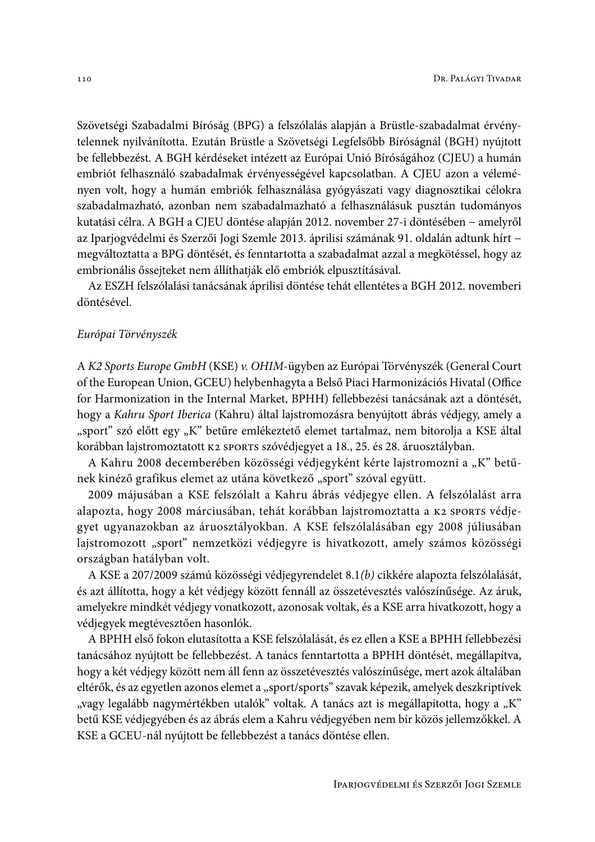Szövetségi Szabadalmi Bíróság (BPG) a felszólalás alapján a Brüstle-szabadalmat érvénytelennek nyilvánította. Ezután Brüstle a Szövetségi Legfelsőbb Bíróságnál (BGH) nyújtott be fellebbezést. A BGH kérdéseket intézett az Európai Unió Bíróságához (CJEU) a humán embriót felhasználó szabadalmak érvényességével kapcsolatban. A CJEU azon a véleményen volt, hogy a humán embriók felhasználása gyógyászati vagy diagnosztikai célokra szabadalmazható, azonban nem szabadalmazható a felhasználásuk pusztán tudományos kutatási célra. A BGH a CJEU döntése alapján 2012. november 27-i döntésében – amelyről az Iparjogvédelmi és Szerzői Jogi Szemle 2013. áprilisi számának 91. oldalán adtunk hírt – megváltoztatta a BPG döntését, és fenntartotta a szabadalmat azzal a megkötéssel, hogy az embrionális őssejteket nem állíthatják elő embriók elpusztításával.

Az ESZH felszólalási tanácsának áprilisi döntése tehát ellentétes a BGH 2012. novemberi döntésével.

# Európai Törvényszék

A K2 Sports Europe GmbH (KSE) v. OHIM-ügyben az Európai Törvényszék (General Court of the European Union, GCEU) helybenhagyta a Belső Piaci Harmonizációs Hivatal (Office for Harmonization in the Internal Market, BPHH) fellebbezési tanácsának azt a döntését, hogy a Kahru Sport Iberica (Kahru) által lajstromozásra benyújtott ábrás védjegy, amely a "sport" szó előtt egy "K" betűre emlékeztető elemet tartalmaz, nem bitorolja a KSE által korábban lajstromoztatott K2 SPORTS szóvédjegyet a 18., 25. és 28. áruosztályban.

A Kahru 2008 decemberében közösségi védjegyként kérte lajstromozni a "K" betűnek kinéző grafikus elemet az utána következő "sport" szóval együtt.

2009 májusában a KSE felszólalt a Kahru ábrás védjegye ellen. A felszólalást arra alapozta, hogy 2008 márciusában, tehát korábban lajstromoztatta a K2 SPORTS védjegyet ugyanazokban az áruosztályokban. A KSE felszólalásában egy 2008 júliusában lajstromozott "sport" nemzetközi védjegyre is hivatkozott, amely számos közösségi országban hatályban volt.

A KSE a 207/2009 számú közösségi védjegyrendelet 8.1(b) cikkére alapozta felszólalását, és azt állította, hogy a két védjegy között fennáll az összetévesztés valószínűsége. Az áruk, amelyekre mindkét védjegy vonatkozott, azonosak voltak, és a KSE arra hivatkozott, hogy a védjegyek megtévesztően hasonlók.

A BPHH első fokon elutasította a KSE felszólalását, és ez ellen a KSE a BPHH fellebbezési tanácsához nyújtott be fellebbezést. A tanács fenntartotta a BPHH döntését, megállapítva, hogy a két védjegy között nem áll fenn az összetévesztés valószínűsége, mert azok általában eltérők, és az egyetlen azonos elemet a "sport/sports" szavak képezik, amelyek deszkriptívek "vagy legalább nagymértékben utalók" voltak. A tanács azt is megállapította, hogy a "K" betű KSE védjegyében és az ábrás elem a Kahru védjegyében nem bír közös jellemzőkkel. A KSE a GCEU-nál nyújtott be fellebbezést a tanács döntése ellen.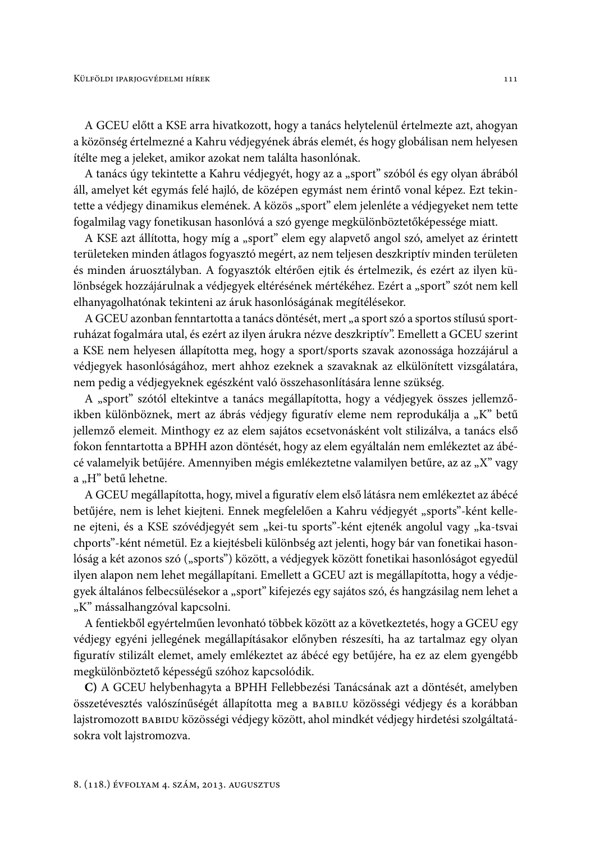A GCEU előtt a KSE arra hivatkozott, hogy a tanács helytelenül értelmezte azt, ahogyan a közönség értelmezné a Kahru védjegyének ábrás elemét, és hogy globálisan nem helyesen ítélte meg a jeleket, amikor azokat nem találta hasonlónak.

A tanács úgy tekintette a Kahru védjegyét, hogy az a "sport" szóból és egy olyan ábrából áll, amelyet két egymás felé hajló, de középen egymást nem érintő vonal képez. Ezt tekintette a védjegy dinamikus elemének. A közös "sport" elem jelenléte a védjegyeket nem tette fogalmilag vagy fonetikusan hasonlóvá a szó gyenge megkülönböztetőképessége miatt.

A KSE azt állította, hogy míg a "sport" elem egy alapvető angol szó, amelyet az érintett területeken minden átlagos fogyasztó megért, az nem teljesen deszkriptív minden területen és minden áruosztályban. A fogyasztók eltérően ejtik és értelmezik, és ezért az ilyen különbségek hozzájárulnak a védjegyek eltérésének mértékéhez. Ezért a "sport" szót nem kell elhanyagolhatónak tekinteni az áruk hasonlóságának megítélésekor.

A GCEU azonban fenntartotta a tanács döntését, mert "a sport szó a sportos stílusú sportruházat fogalmára utal, és ezért az ilyen árukra nézve deszkriptív". Emellett a GCEU szerint a KSE nem helyesen állapította meg, hogy a sport/sports szavak azonossága hozzájárul a védjegyek hasonlóságához, mert ahhoz ezeknek a szavaknak az elkülönített vizsgálatára, nem pedig a védjegyeknek egészként való összehasonlítására lenne szükség.

A "sport" szótól eltekintve a tanács megállapította, hogy a védjegyek összes jellemzőikben különböznek, mert az ábrás védjegy figuratív eleme nem reprodukálja a "K" betű jellemző elemeit. Minthogy ez az elem sajátos ecsetvonásként volt stilizálva, a tanács első fokon fenntartotta a BPHH azon döntését, hogy az elem egyáltalán nem emlékeztet az ábécé valamelyik betűjére. Amennyiben mégis emlékeztetne valamilyen betűre, az az "X" vagy a "H" betű lehetne.

A GCEU megállapította, hogy, mivel a figuratív elem első látásra nem emlékeztet az ábécé betűjére, nem is lehet kiejteni. Ennek megfelelően a Kahru védjegyét "sports"-ként kellene ejteni, és a KSE szóvédjegyét sem "kei-tu sports"-ként ejtenék angolul vagy "ka-tsvai chports"-ként németül. Ez a kiejtésbeli különbség azt jelenti, hogy bár van fonetikai hasonlóság a két azonos szó ("sports") között, a védjegyek között fonetikai hasonlóságot egyedül ilyen alapon nem lehet megállapítani. Emellett a GCEU azt is megállapította, hogy a védjegyek általános felbecsülésekor a "sport" kifejezés egy sajátos szó, és hangzásilag nem lehet a "K" mássalhangzóval kapcsolni.

A fentiekből egyértelműen levonható többek között az a következtetés, hogy a GCEU egy védjegy egyéni jellegének megállapításakor előnyben részesíti, ha az tartalmaz egy olyan figuratív stilizált elemet, amely emlékeztet az ábécé egy betűjére, ha ez az elem gyengébb megkülönböztető képességű szóhoz kapcsolódik.

C) A GCEU helybenhagyta a BPHH Fellebbezési Tanácsának azt a döntését, amelyben összetévesztés valószínűségét állapította meg a BABILU közösségi védjegy és a korábban lajstromozott BABIDU közösségi védjegy között, ahol mindkét védjegy hirdetési szolgáltatásokra volt lajstromozva.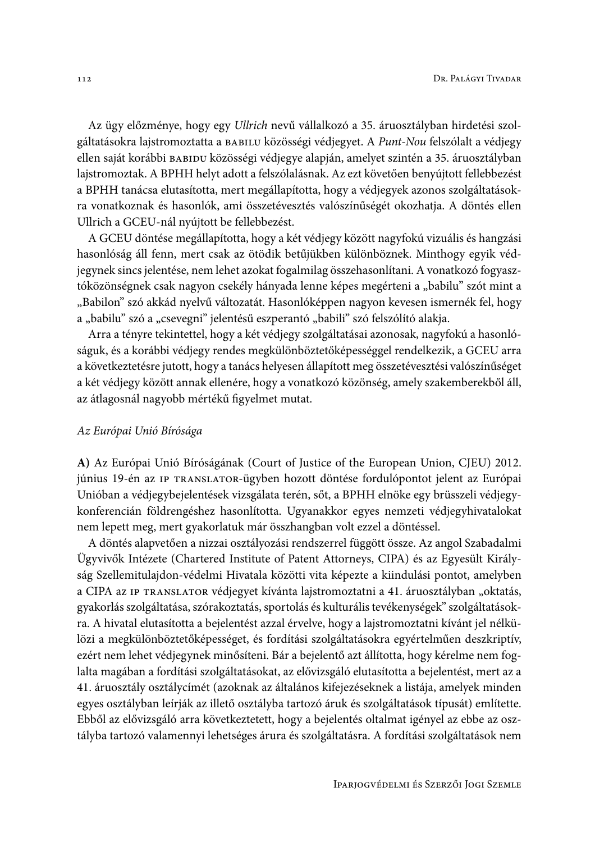Az ügy előzménye, hogy egy Ullrich nevű vállalkozó a 35. áruosztályban hirdetési szolgáltatásokra lajstromoztatta a BABILU közösségi védjegyet. A Punt-Nou felszólalt a védjegy ellen saját korábbi BABIDU közösségi védjegye alapján, amelyet szintén a 35. áruosztályban lajstromoztak. A BPHH helyt adott a felszólalásnak. Az ezt követően benyújtott fellebbezést a BPHH tanácsa elutasította, mert megállapította, hogy a védjegyek azonos szolgáltatásokra vonatkoznak és hasonlók, ami összetévesztés valószínűségét okozhatja. A döntés ellen Ullrich a GCEU-nál nyújtott be fellebbezést.

A GCEU döntése megállapította, hogy a két védjegy között nagyfokú vizuális és hangzási hasonlóság áll fenn, mert csak az ötödik betűjükben különböznek. Minthogy egyik védjegynek sincs jelentése, nem lehet azokat fogalmilag összehasonlítani. A vonatkozó fogyasztóközönségnek csak nagyon csekély hányada lenne képes megérteni a "babilu" szót mint a "Babilon" szó akkád nyelvű változatát. Hasonlóképpen nagyon kevesen ismernék fel, hogy a "babilu" szó a "csevegni" jelentésű eszperantó "babili" szó felszólító alakja.

Arra a tényre tekintettel, hogy a két védjegy szolgáltatásai azonosak, nagyfokú a hasonlóságuk, és a korábbi védjegy rendes megkülönböztetőképességgel rendelkezik, a GCEU arra a következtetésre jutott, hogy a tanács helyesen állapított meg összetévesztési valószínűséget a két védjegy között annak ellenére, hogy a vonatkozó közönség, amely szakemberekből áll, az átlagosnál nagyobb mértékű figyelmet mutat.

## Az Európai Unió Bírósága

A) Az Európai Unió Bíróságának (Court of Justice of the European Union, CJEU) 2012. június 19-én az IP TRANSLATOR-ügyben hozott döntése fordulópontot jelent az Európai Unióban a védjegybejelentések vizsgálata terén, sőt, a BPHH elnöke egy brüsszeli védjegykonferencián földrengéshez hasonlította. Ugyanakkor egyes nemzeti védjegyhivatalokat nem lepett meg, mert gyakorlatuk már összhangban volt ezzel a döntéssel.

A döntés alapvetően a nizzai osztályozási rendszerrel függött össze. Az angol Szabadalmi Ügyvivők Intézete (Chartered Institute of Patent Attorneys, CIPA) és az Egyesült Királyság Szellemitulajdon-védelmi Hivatala közötti vita képezte a kiindulási pontot, amelyben a CIPA az IP TRANSLATOR védjegyet kívánta lajstromoztatni a 41. áruosztályban "oktatás, gyakorlás szolgáltatása, szórakoztatás, sportolás és kulturális tevékenységek" szolgáltatásokra. A hivatal elutasította a bejelentést azzal érvelve, hogy a lajstromoztatni kívánt jel nélkülözi a megkülönböztetőképességet, és fordítási szolgáltatásokra egyértelműen deszkriptív, ezért nem lehet védjegynek minősíteni. Bár a bejelentő azt állította, hogy kérelme nem foglalta magában a fordítási szolgáltatásokat, az elővizsgáló elutasította a bejelentést, mert az a 41. áruosztály osztálycímét (azoknak az általános kifejezéseknek a listája, amelyek minden egyes osztályban leírják az illető osztályba tartozó áruk és szolgáltatások típusát) említette. Ebből az elővizsgáló arra következtetett, hogy a bejelentés oltalmat igényel az ebbe az osztályba tartozó valamennyi lehetséges árura és szolgáltatásra. A fordítási szolgáltatások nem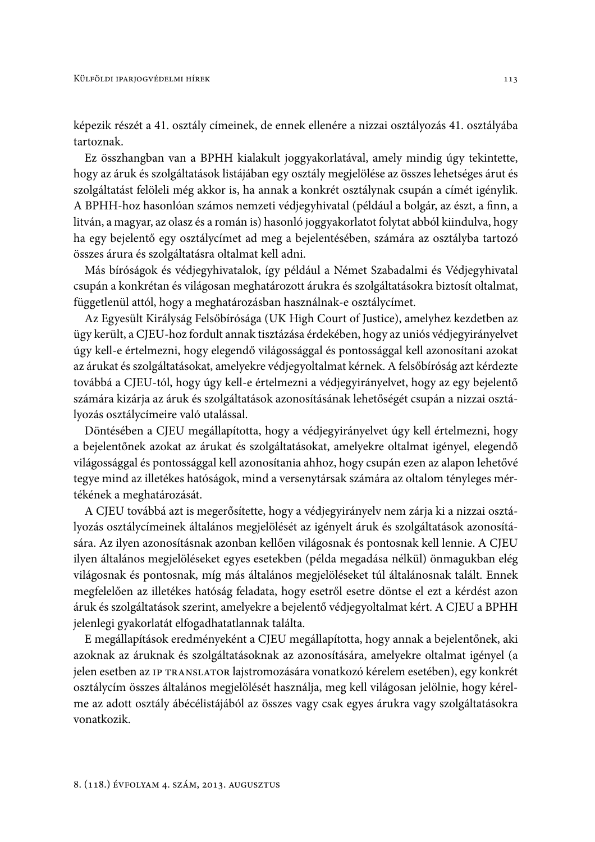képezik részét a 41. osztály címeinek, de ennek ellenére a nizzai osztályozás 41. osztályába tartoznak.

Ez összhangban van a BPHH kialakult joggyakorlatával, amely mindig úgy tekintette, hogy az áruk és szolgáltatások listájában egy osztály megjelölése az összes lehetséges árut és szolgáltatást felöleli még akkor is, ha annak a konkrét osztálynak csupán a címét igénylik. A BPHH-hoz hasonlóan számos nemzeti védjegyhivatal (például a bolgár, az észt, a finn, a litván, a magyar, az olasz és a román is) hasonló joggyakorlatot folytat abból kiindulva, hogy ha egy bejelentő egy osztálycímet ad meg a bejelentésében, számára az osztályba tartozó összes árura és szolgáltatásra oltalmat kell adni.

Más bíróságok és védjegyhivatalok, így például a Német Szabadalmi és Védjegyhivatal csupán a konkrétan és világosan meghatározott árukra és szolgáltatásokra biztosít oltalmat, függetlenül attól, hogy a meghatározásban használnak-e osztálycímet.

Az Egyesült Királyság Felsőbírósága (UK High Court of Justice), amelyhez kezdetben az ügy került, a CJEU-hoz fordult annak tisztázása érdekében, hogy az uniós védjegyirányelvet úgy kell-e értelmezni, hogy elegendő világossággal és pontossággal kell azonosítani azokat az árukat és szolgáltatásokat, amelyekre védjegyoltalmat kérnek. A felsőbíróság azt kérdezte továbbá a CJEU-tól, hogy úgy kell-e értelmezni a védjegyirányelvet, hogy az egy bejelentő számára kizárja az áruk és szolgáltatások azonosításának lehetőségét csupán a nizzai osztályozás osztálycímeire való utalással.

Döntésében a CJEU megállapította, hogy a védjegyirányelvet úgy kell értelmezni, hogy a bejelentőnek azokat az árukat és szolgáltatásokat, amelyekre oltalmat igényel, elegendő világossággal és pontossággal kell azonosítania ahhoz, hogy csupán ezen az alapon lehetővé tegye mind az illetékes hatóságok, mind a versenytársak számára az oltalom tényleges mértékének a meghatározását.

A CJEU továbbá azt is megerősítette, hogy a védjegyirányelv nem zárja ki a nizzai osztályozás osztálycímeinek általános megjelölését az igényelt áruk és szolgáltatások azonosítására. Az ilyen azonosításnak azonban kellően világosnak és pontosnak kell lennie. A CJEU ilyen általános megjelöléseket egyes esetekben (példa megadása nélkül) önmagukban elég világosnak és pontosnak, míg más általános megjelöléseket túl általánosnak talált. Ennek megfelelően az illetékes hatóság feladata, hogy esetről esetre döntse el ezt a kérdést azon áruk és szolgáltatások szerint, amelyekre a bejelentő védjegyoltalmat kért. A CJEU a BPHH jelenlegi gyakorlatát elfogadhatatlannak találta.

E megállapítások eredményeként a CJEU megállapította, hogy annak a bejelentőnek, aki azoknak az áruknak és szolgáltatásoknak az azonosítására, amelyekre oltalmat igényel (a jelen esetben az IP TRANSLATOR lajstromozására vonatkozó kérelem esetében), egy konkrét osztálycím összes általános megjelölését használja, meg kell világosan jelölnie, hogy kérelme az adott osztály ábécélistájából az összes vagy csak egyes árukra vagy szolgáltatásokra vonatkozik.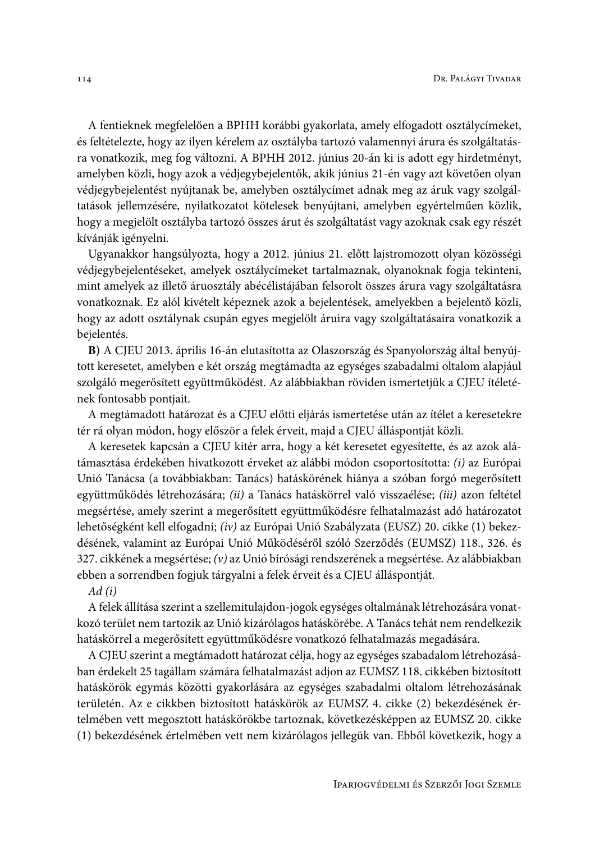A fentieknek megfelelően a BPHH korábbi gyakorlata, amely elfogadott osztálycímeket, és feltételezte, hogy az ilyen kérelem az osztályba tartozó valamennyi árura és szolgáltatásra vonatkozik, meg fog változni. A BPHH 2012. június 20-án ki is adott egy hirdetményt, amelyben közli, hogy azok a védjegybejelentők, akik június 21-én vagy azt követően olyan védjegybejelentést nyújtanak be, amelyben osztálycímet adnak meg az áruk vagy szolgáltatások jellemzésére, nyilatkozatot kötelesek benyújtani, amelyben egyértelműen közlik, hogy a megjelölt osztályba tartozó összes árut és szolgáltatást vagy azoknak csak egy részét kívánják igényelni.

Ugyanakkor hangsúlyozta, hogy a 2012. június 21. előtt lajstromozott olyan közösségi védjegybejelentéseket, amelyek osztálycímeket tartalmaznak, olyanoknak fogja tekinteni, mint amelyek az illető áruosztály abécélistájában felsorolt összes árura vagy szolgáltatásra vonatkoznak. Ez alól kivételt képeznek azok a bejelentések, amelyekben a bejelentő közli, hogy az adott osztálynak csupán egyes megjelölt áruira vagy szolgáltatásaira vonatkozik a bejelentés.

B) A CJEU 2013. április 16-án elutasította az Olaszország és Spanyolország által benyújtott keresetet, amelyben e két ország megtámadta az egységes szabadalmi oltalom alapjául szolgáló megerősített együttműködést. Az alábbiakban röviden ismertetjük a CJEU ítéletének fontosabb pontjait.

A megtámadott határozat és a CJEU előtti eljárás ismertetése után az ítélet a keresetekre tér rá olyan módon, hogy először a felek érveit, majd a CJEU álláspontját közli.

A keresetek kapcsán a CJEU kitér arra, hogy a két keresetet egyesítette, és az azok alátámasztása érdekében hivatkozott érveket az alábbi módon csoportosította: (i) az Európai Unió Tanácsa (a továbbiakban: Tanács) hatáskörének hiánya a szóban forgó megerősített együttműködés létrehozására; (ii) a Tanács hatáskörrel való visszaélése; (iii) azon feltétel megsértése, amely szerint a megerősített együttműködésre felhatalmazást adó határozatot lehetőségként kell elfogadni; (iv) az Európai Unió Szabályzata (EUSZ) 20. cikke (1) bekezdésének, valamint az Európai Unió Működéséről szóló Szerződés (EUMSZ) 118., 326. és 327. cikkének a megsértése; (v) az Unió bírósági rendszerének a megsértése. Az alábbiakban ebben a sorrendben fogjuk tárgyalni a felek érveit és a CJEU álláspontját.

# $Ad(i)$

A felek állítása szerint a szellemitulajdon-jogok egységes oltalmának létrehozására vonatkozó terület nem tartozik az Unió kizárólagos hatáskörébe. A Tanács tehát nem rendelkezik hatáskörrel a megerősített együttműködésre vonatkozó felhatalmazás megadására.

A CJEU szerint a megtámadott határozat célja, hogy az egységes szabadalom létrehozásában érdekelt 25 tagállam számára felhatalmazást adjon az EUMSZ 118. cikkében biztosított hatáskörök egymás közötti gyakorlására az egységes szabadalmi oltalom létrehozásának területén. Az e cikkben biztosított hatáskörök az EUMSZ 4. cikke (2) bekezdésének értelmében vett megosztott hatáskörökbe tartoznak, következésképpen az EUMSZ 20. cikke (1) bekezdésének értelmében vett nem kizárólagos jellegük van. Ebből következik, hogy a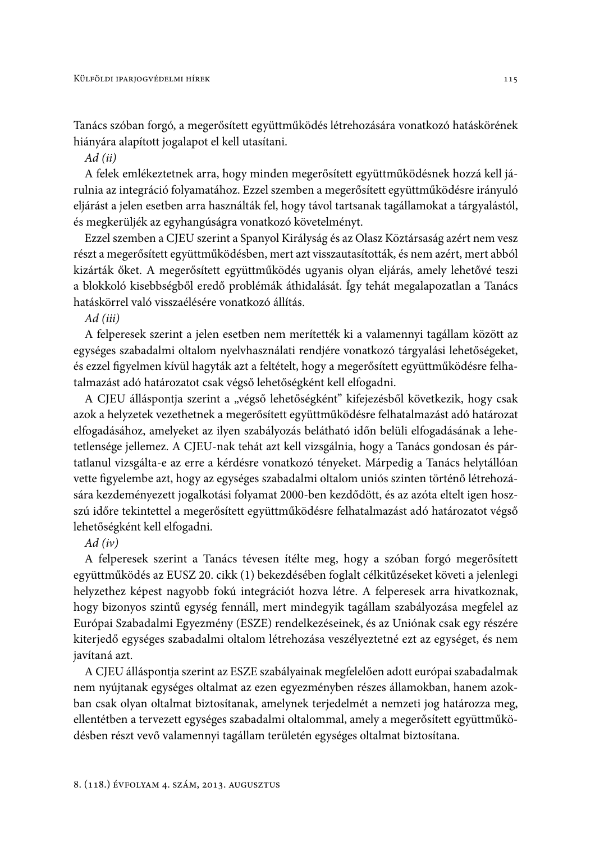Tanács szóban forgó, a megerősített együttműködés létrehozására vonatkozó hatáskörének hiányára alapított jogalapot el kell utasítani.

# $Ad (ii)$

A felek emlékeztetnek arra, hogy minden megerősített együttműködésnek hozzá kell járulnia az integráció folyamatához. Ezzel szemben a megerősített együttműködésre irányuló eljárást a jelen esetben arra használták fel, hogy távol tartsanak tagállamokat a tárgyalástól, és megkerüljék az egyhangúságra vonatkozó követelményt.

Ezzel szemben a CJEU szerint a Spanyol Királyság és az Olasz Köztársaság azért nem vesz részt a megerősített együttműködésben, mert azt visszautasították, és nem azért, mert abból kizárták őket. A megerősített együttműködés ugyanis olyan eljárás, amely lehetővé teszi a blokkoló kisebbségből eredő problémák áthidalását. Így tehát megalapozatlan a Tanács hatáskörrel való visszaélésére vonatkozó állítás.

# $Ad(iii)$

A felperesek szerint a jelen esetben nem merítették ki a valamennyi tagállam között az egységes szabadalmi oltalom nyelvhasználati rendjére vonatkozó tárgyalási lehetőségeket, és ezzel figyelmen kívül hagyták azt a feltételt, hogy a megerősített együttműködésre felhatalmazást adó határozatot csak végső lehetőségként kell elfogadni.

A CJEU álláspontja szerint a "végső lehetőségként" kifejezésből következik, hogy csak azok a helyzetek vezethetnek a megerősített együttműködésre felhatalmazást adó határozat elfogadásához, amelyeket az ilyen szabályozás belátható időn belüli elfogadásának a lehetetlensége jellemez. A CJEU-nak tehát azt kell vizsgálnia, hogy a Tanács gondosan és pártatlanul vizsgálta-e az erre a kérdésre vonatkozó tényeket. Márpedig a Tanács helytállóan vette figyelembe azt, hogy az egységes szabadalmi oltalom uniós szinten történő létrehozására kezdeményezett jogalkotási folyamat 2000-ben kezdődött, és az azóta eltelt igen hoszszú időre tekintettel a megerősített együttműködésre felhatalmazást adó határozatot végső lehetőségként kell elfogadni.

# $Ad(iv)$

A felperesek szerint a Tanács tévesen ítélte meg, hogy a szóban forgó megerősített együttműködés az EUSZ 20. cikk (1) bekezdésében foglalt célkitűzéseket követi a jelenlegi helyzethez képest nagyobb fokú integrációt hozva létre. A felperesek arra hivatkoznak, hogy bizonyos szintű egység fennáll, mert mindegyik tagállam szabályozása megfelel az Európai Szabadalmi Egyezmény (ESZE) rendelkezéseinek, és az Uniónak csak egy részére kiterjedő egységes szabadalmi oltalom létrehozása veszélyeztetné ezt az egységet, és nem javítaná azt.

A CJEU álláspontja szerint az ESZE szabályainak megfelelően adott európai szabadalmak nem nyújtanak egységes oltalmat az ezen egyezményben részes államokban, hanem azokban csak olyan oltalmat biztosítanak, amelynek terjedelmét a nemzeti jog határozza meg, ellentétben a tervezett egységes szabadalmi oltalommal, amely a megerősített együttműködésben részt vevő valamennyi tagállam területén egységes oltalmat biztosítana.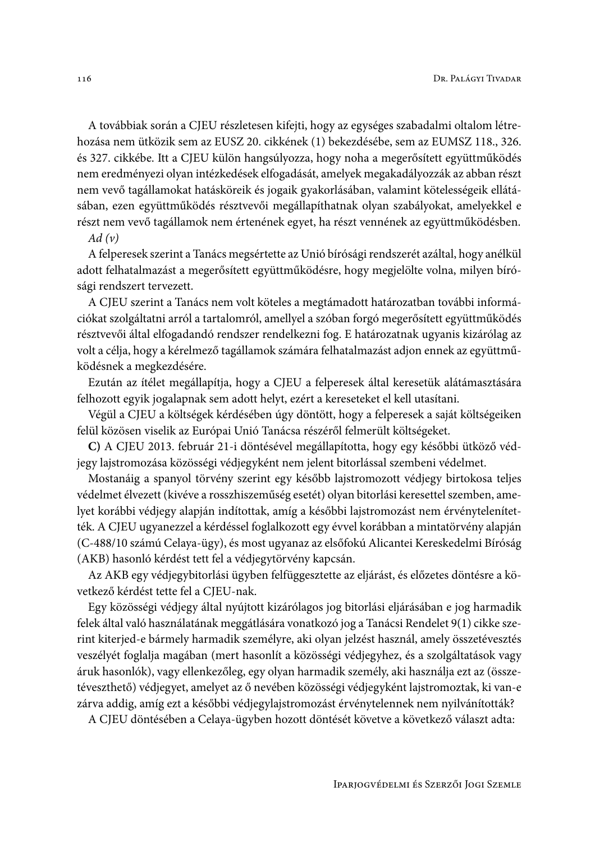A továbbiak során a CJEU részletesen kifejti, hogy az egységes szabadalmi oltalom létrehozása nem ütközik sem az EUSZ 20. cikkének (1) bekezdésébe, sem az EUMSZ 118., 326. és 327. cikkébe. Itt a CJEU külön hangsúlyozza, hogy noha a megerősített együttműködés nem eredményezi olyan intézkedések elfogadását, amelyek megakadályozzák az abban részt nem vevő tagállamokat hatásköreik és jogaik gyakorlásában, valamint kötelességeik ellátásában, ezen együttműködés résztvevői megállapíthatnak olyan szabályokat, amelyekkel e részt nem vevő tagállamok nem értenének egyet, ha részt vennének az együttműködésben.

#### $Ad (v)$

A felperesek szerint a Tanács megsértette az Unió bírósági rendszerét azáltal, hogy anélkül adott felhatalmazást a megerősített együttműködésre, hogy megjelölte volna, milyen bírósági rendszert tervezett.

A CJEU szerint a Tanács nem volt köteles a megtámadott határozatban további információkat szolgáltatni arról a tartalomról, amellyel a szóban forgó megerősített együttműködés résztvevői által elfogadandó rendszer rendelkezni fog. E határozatnak ugyanis kizárólag az volt a célja, hogy a kérelmező tagállamok számára felhatalmazást adjon ennek az együttműködésnek a megkezdésére.

Ezután az ítélet megállapítja, hogy a CJEU a felperesek által keresetük alátámasztására felhozott egyik jogalapnak sem adott helyt, ezért a kereseteket el kell utasítani.

Végül a CJEU a költségek kérdésében úgy döntött, hogy a felperesek a saját költségeiken felül közösen viselik az Európai Unió Tanácsa részéről felmerült költségeket.

C) A CJEU 2013. február 21-i döntésével megállapította, hogy egy későbbi ütköző védjegy lajstromozása közösségi védjegyként nem jelent bitorlással szembeni védelmet.

Mostanáig a spanyol törvény szerint egy később lajstromozott védjegy birtokosa teljes védelmet élvezett (kivéve a rosszhiszeműség esetét) olyan bitorlási keresettel szemben, amelyet korábbi védjegy alapján indítottak, amíg a későbbi lajstromozást nem érvénytelenítették. A CJEU ugyanezzel a kérdéssel foglalkozott egy évvel korábban a mintatörvény alapján (C-488/10 számú Celaya-ügy), és most ugyanaz az elsőfokú Alicantei Kereskedelmi Bíróság (AKB) hasonló kérdést tett fel a védjegytörvény kapcsán.

Az AKB egy védjegybitorlási ügyben felfüggesztette az eljárást, és előzetes döntésre a következő kérdést tette fel a CJEU-nak.

Egy közösségi védjegy által nyújtott kizárólagos jog bitorlási eljárásában e jog harmadik felek által való használatának meggátlására vonatkozó jog a Tanácsi Rendelet 9(1) cikke szerint kiterjed-e bármely harmadik személyre, aki olyan jelzést használ, amely összetévesztés veszélyét foglalja magában (mert hasonlít a közösségi védjegyhez, és a szolgáltatások vagy áruk hasonlók), vagy ellenkezőleg, egy olyan harmadik személy, aki használja ezt az (összetéveszthető) védjegyet, amelyet az ő nevében közösségi védjegyként lajstromoztak, ki van-e zárva addig, amíg ezt a későbbi védjegylajstromozást érvénytelennek nem nyilvánították?

A CJEU döntésében a Celaya-ügyben hozott döntését követve a következő választ adta: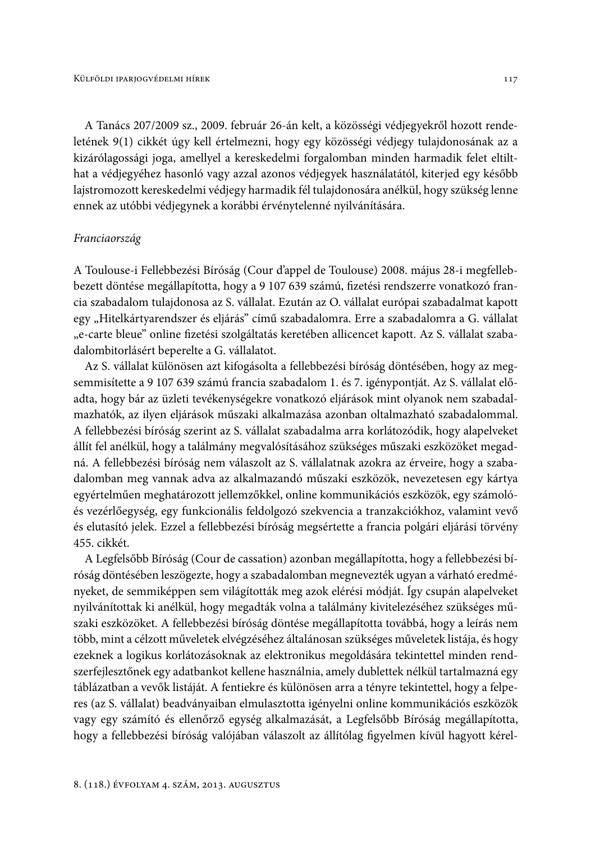A Tanács 207/2009 sz., 2009. február 26-án kelt, a közösségi védjegyekről hozott rendeletének 9(1) cikkét úgy kell értelmezni, hogy egy közösségi védjegy tulajdonosának az a kizárólagossági joga, amellyel a kereskedelmi forgalomban minden harmadik felet eltilthat a védjegyéhez hasonló vagy azzal azonos védjegyek használatától, kiterjed egy később lajstromozott kereskedelmi védjegy harmadik fél tulajdonosára anélkül, hogy szükség lenne ennek az utóbbi védjegynek a korábbi érvénytelenné nyilvánítására.

#### Franciaország

A Toulouse-i Fellebbezési Bíróság (Cour d'appel de Toulouse) 2008. május 28-i megfellebbezett döntése megállapította, hogy a 9 107 639 számú, fizetési rendszerre vonatkozó francia szabadalom tulajdonosa az S. vállalat. Ezután az O. vállalat európai szabadalmat kapott egy "Hitelkártyarendszer és eljárás" című szabadalomra. Erre a szabadalomra a G. vállalat "e-carte bleue" online fizetési szolgáltatás keretében allicencet kapott. Az S. vállalat szabadalombitorlásért beperelte a G. vállalatot.

Az S. vállalat különösen azt kifogásolta a fellebbezési bíróság döntésében, hogy az megsemmisítette a 9 107 639 számú francia szabadalom 1. és 7. igénypontját. Az S. vállalat előadta, hogy bár az üzleti tevékenységekre vonatkozó eljárások mint olyanok nem szabadalmazhatók, az ilyen eljárások műszaki alkalmazása azonban oltalmazható szabadalommal. A fellebbezési bíróság szerint az S. vállalat szabadalma arra korlátozódik, hogy alapelveket állít fel anélkül, hogy a találmány megvalósításához szükséges műszaki eszközöket megadná. A fellebbezési bíróság nem válaszolt az S. vállalatnak azokra az érveire, hogy a szabadalomban meg vannak adva az alkalmazandó műszaki eszközök, nevezetesen egy kártya egyértelműen meghatározott jellemzőkkel, online kommunikációs eszközök, egy számolóés vezérlőegység, egy funkcionális feldolgozó szekvencia a tranzakciókhoz, valamint vevő és elutasító jelek. Ezzel a fellebbezési bíróság megsértette a francia polgári eljárási törvény 455. cikkét.

A Legfelsőbb Bíróság (Cour de cassation) azonban megállapította, hogy a fellebbezési bíróság döntésében leszögezte, hogy a szabadalomban megnevezték ugyan a várható eredményeket, de semmiképpen sem világították meg azok elérési módját. Így csupán alapelveket nyilvánítottak ki anélkül, hogy megadták volna a találmány kivitelezéséhez szükséges műszaki eszközöket. A fellebbezési bíróság döntése megállapította továbbá, hogy a leírás nem több, mint a célzott műveletek elvégzéséhez általánosan szükséges műveletek listája, és hogy ezeknek a logikus korlátozásoknak az elektronikus megoldására tekintettel minden rendszerfejlesztőnek egy adatbankot kellene használnia, amely dublettek nélkül tartalmazná egy táblázatban a vevők listáját. A fentiekre és különösen arra a tényre tekintettel, hogy a felperes (az S. vállalat) beadványaiban elmulasztotta igényelni online kommunikációs eszközök vagy egy számító és ellenőrző egység alkalmazását, a Legfelsőbb Bíróság megállapította, hogy a fellebbezési bíróság valójában válaszolt az állítólag figyelmen kívül hagyott kérel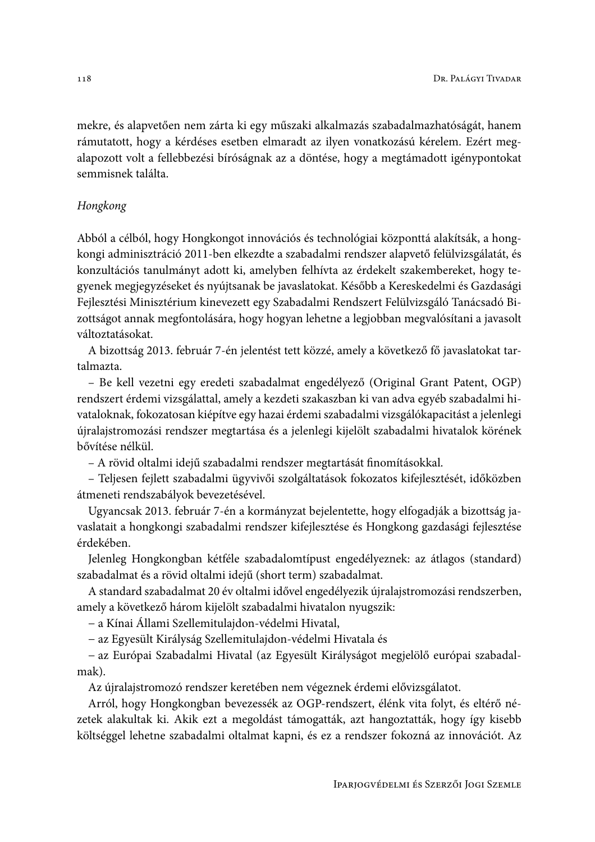mekre, és alapvetően nem zárta ki egy műszaki alkalmazás szabadalmazhatóságát, hanem rámutatott, hogy a kérdéses esetben elmaradt az ilyen vonatkozású kérelem. Ezért megalapozott volt a fellebbezési bíróságnak az a döntése, hogy a megtámadott igénypontokat semmisnek találta.

# Hongkong

Abból a célból, hogy Hongkongot innovációs és technológiai központtá alakítsák, a hongkongi adminisztráció 2011-ben elkezdte a szabadalmi rendszer alapvető felülvizsgálatát, és konzultációs tanulmányt adott ki, amelyben felhívta az érdekelt szakembereket, hogy tegyenek megjegyzéseket és nyújtsanak be javaslatokat. Később a Kereskedelmi és Gazdasági Fejlesztési Minisztérium kinevezett egy Szabadalmi Rendszert Felülvizsgáló Tanácsadó Bizottságot annak megfontolására, hogy hogyan lehetne a legjobban megvalósítani a javasolt változtatásokat.

A bizottság 2013. február 7-én jelentést tett közzé, amely a következő fő javaslatokat tartalmazta.

- Be kell vezetni egy eredeti szabadalmat engedélyező (Original Grant Patent, OGP) rendszert érdemi vizsgálattal, amely a kezdeti szakaszban ki van adva egyéb szabadalmi hivataloknak, fokozatosan kiépítve egy hazai érdemi szabadalmi vizsgálókapacitást a jelenlegi újralajstromozási rendszer megtartása és a jelenlegi kijelölt szabadalmi hivatalok körének bővítése nélkül.

- A rövid oltalmi idejű szabadalmi rendszer megtartását finomításokkal.

- Teljesen fejlett szabadalmi ügyvivői szolgáltatások fokozatos kifejlesztését, időközben átmeneti rendszabályok bevezetésével.

Ugyancsak 2013. február 7-én a kormányzat bejelentette, hogy elfogadják a bizottság javaslatait a hongkongi szabadalmi rendszer kifejlesztése és Hongkong gazdasági fejlesztése érdekében.

Jelenleg Hongkongban kétféle szabadalomtípust engedélyeznek: az átlagos (standard) szabadalmat és a rövid oltalmi idejű (short term) szabadalmat.

A standard szabadalmat 20 év oltalmi idővel engedélyezik újralajstromozási rendszerben, amely a következő három kijelölt szabadalmi hivatalon nyugszik:

- a Kínai Állami Szellemitulajdon-védelmi Hivatal,

- az Egyesült Királyság Szellemitulajdon-védelmi Hivatala és

- az Európai Szabadalmi Hivatal (az Egyesült Királyságot megjelölő európai szabadalmak).

Az újralajstromozó rendszer keretében nem végeznek érdemi elővizsgálatot.

Arról, hogy Hongkongban bevezessék az OGP-rendszert, élénk vita folyt, és eltérő nézetek alakultak ki. Akik ezt a megoldást támogatták, azt hangoztatták, hogy így kisebb költséggel lehetne szabadalmi oltalmat kapni, és ez a rendszer fokozná az innovációt. Az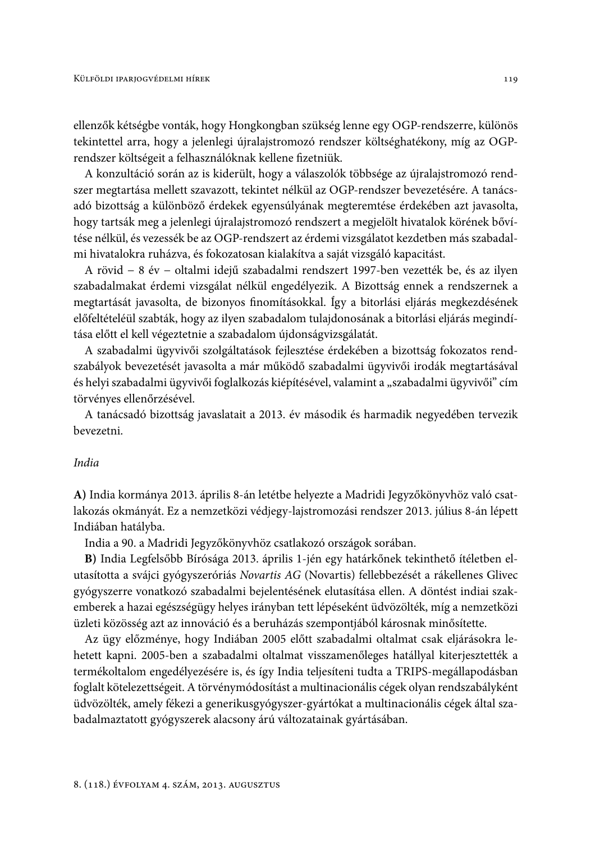ellenzők kétségbe vonták, hogy Hongkongban szükség lenne egy OGP-rendszerre, különös tekintettel arra, hogy a jelenlegi újralajstromozó rendszer költséghatékony, míg az OGPrendszer költségeit a felhasználóknak kellene fizetniük.

A konzultáció során az is kiderült, hogy a válaszolók többsége az újralajstromozó rendszer megtartása mellett szavazott, tekintet nélkül az OGP-rendszer bevezetésére. A tanácsadó bizottság a különböző érdekek egyensúlyának megteremtése érdekében azt javasolta, hogy tartsák meg a jelenlegi újralajstromozó rendszert a megjelölt hivatalok körének bővítése nélkül, és vezessék be az OGP-rendszert az érdemi vizsgálatot kezdetben más szabadalmi hivatalokra ruházva, és fokozatosan kialakítva a saját vizsgáló kapacitást.

A rövid - 8 év - oltalmi idejű szabadalmi rendszert 1997-ben vezették be, és az ilyen szabadalmakat érdemi vizsgálat nélkül engedélyezik. A Bizottság ennek a rendszernek a megtartását javasolta, de bizonyos finomításokkal. Így a bitorlási eljárás megkezdésének előfeltételéül szabták, hogy az ilyen szabadalom tulajdonosának a bitorlási eljárás megindítása előtt el kell végeztetnie a szabadalom újdonságvizsgálatát.

A szabadalmi ügyvivői szolgáltatások fejlesztése érdekében a bizottság fokozatos rendszabályok bevezetését javasolta a már működő szabadalmi ügyvivői irodák megtartásával és helyi szabadalmi ügyvivői foglalkozás kiépítésével, valamint a "szabadalmi ügyvivői" cím törvényes ellenőrzésével.

A tanácsadó bizottság javaslatait a 2013. év második és harmadik negyedében tervezik bevezetni.

### India

A) India kormánya 2013. április 8-án letétbe helyezte a Madridi Jegyzőkönyvhöz való csatlakozás okmányát. Ez a nemzetközi védjegy-lajstromozási rendszer 2013. július 8-án lépett Indiában hatályba.

India a 90. a Madridi Jegyzőkönyvhöz csatlakozó országok sorában.

B) India Legfelsőbb Bírósága 2013. április 1-jén egy határkőnek tekinthető ítéletben elutasította a svájci gyógyszeróriás Novartis AG (Novartis) fellebbezését a rákellenes Glivec gyógyszerre vonatkozó szabadalmi bejelentésének elutasítása ellen. A döntést indiai szakemberek a hazai egészségügy helyes irányban tett lépéseként üdvözölték, míg a nemzetközi üzleti közösség azt az innováció és a beruházás szempontjából károsnak minősítette.

Az ügy előzménye, hogy Indiában 2005 előtt szabadalmi oltalmat csak eljárásokra lehetett kapni. 2005-ben a szabadalmi oltalmat visszamenőleges hatállyal kiterjesztették a termékoltalom engedélyezésére is, és így India teljesíteni tudta a TRIPS-megállapodásban foglalt kötelezettségeit. A törvénymódosítást a multinacionális cégek olyan rendszabályként üdvözölték, amely fékezi a generikusgyógyszer-gyártókat a multinacionális cégek által szabadalmaztatott gyógyszerek alacsony árú változatainak gyártásában.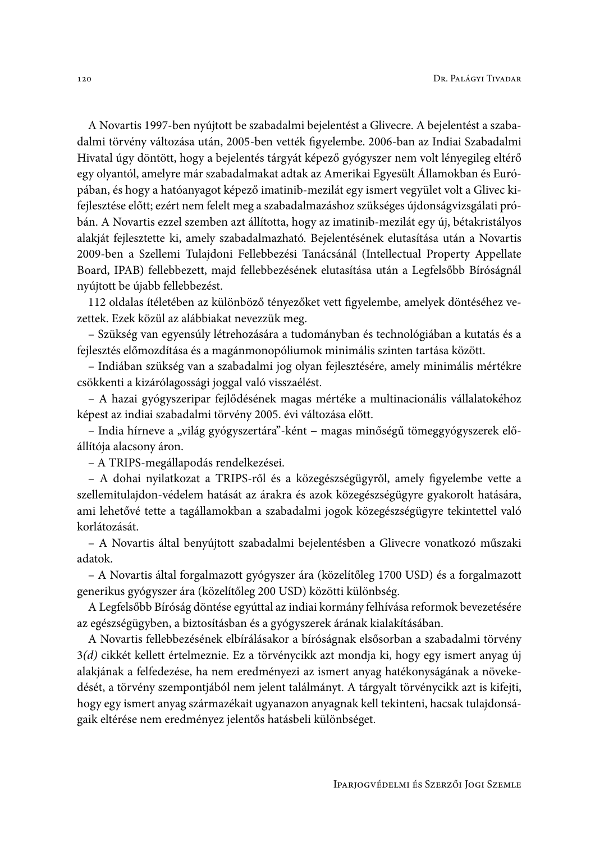A Novartis 1997-ben nyújtott be szabadalmi bejelentést a Glivecre. A bejelentést a szabadalmi törvény változása után, 2005-ben vették figyelembe. 2006-ban az Indiai Szabadalmi Hivatal úgy döntött, hogy a bejelentés tárgyát képező gyógyszer nem volt lényegileg eltérő egy olyantól, amelyre már szabadalmakat adtak az Amerikai Egyesült Államokban és Európában, és hogy a hatóanyagot képező imatinib-mezilát egy ismert vegyület volt a Glivec kifejlesztése előtt; ezért nem felelt meg a szabadalmazáshoz szükséges újdonságvizsgálati próbán. A Novartis ezzel szemben azt állította, hogy az imatinib-mezilát egy új, bétakristályos alakját fejlesztette ki, amely szabadalmazható. Bejelentésének elutasítása után a Novartis 2009-ben a Szellemi Tulajdoni Fellebbezési Tanácsánál (Intellectual Property Appellate Board, IPAB) fellebbezett, majd fellebbezésének elutasítása után a Legfelsőbb Bíróságnál nyújtott be újabb fellebbezést.

112 oldalas ítéletében az különböző tényezőket vett figyelembe, amelyek döntéséhez vezettek. Ezek közül az alábbiakat nevezzük meg.

- Szükség van egyensúly létrehozására a tudományban és technológiában a kutatás és a fejlesztés előmozdítása és a magánmonopóliumok minimális szinten tartása között.

- Indiában szükség van a szabadalmi jog olyan fejlesztésére, amely minimális mértékre csökkenti a kizárólagossági joggal való visszaélést.

- A hazai gyógyszeripar fejlődésének magas mértéke a multinacionális vállalatokéhoz képest az indiai szabadalmi törvény 2005. évi változása előtt.

- India hírneve a "világ gyógyszertára"-ként - magas minőségű tömeggyógyszerek előállítója alacsony áron.

- A TRIPS-megállapodás rendelkezései.

- A dohai nyilatkozat a TRIPS-ről és a közegészségügyről, amely figyelembe vette a szellemitulajdon-védelem hatását az árakra és azok közegészségügyre gyakorolt hatására, ami lehetővé tette a tagállamokban a szabadalmi jogok közegészségügyre tekintettel való korlátozását.

- A Novartis által benyújtott szabadalmi bejelentésben a Glivecre vonatkozó műszaki adatok.

- A Novartis által forgalmazott gyógyszer ára (közelítőleg 1700 USD) és a forgalmazott generikus gyógyszer ára (közelítőleg 200 USD) közötti különbség.

A Legfelsőbb Bíróság döntése egyúttal az indiai kormány felhívása reformok bevezetésére az egészségügyben, a biztosításban és a gyógyszerek árának kialakításában.

A Novartis fellebbezésének elbírálásakor a bíróságnak elsősorban a szabadalmi törvény 3(d) cikkét kellett értelmeznie. Ez a törvénycikk azt mondja ki, hogy egy ismert anyag új alakjának a felfedezése, ha nem eredményezi az ismert anyag hatékonyságának a növekedését, a törvény szempontjából nem jelent találmányt. A tárgyalt törvénycikk azt is kifejti, hogy egy ismert anyag származékait ugyanazon anyagnak kell tekinteni, hacsak tulajdonságaik eltérése nem eredményez jelentős hatásbeli különbséget.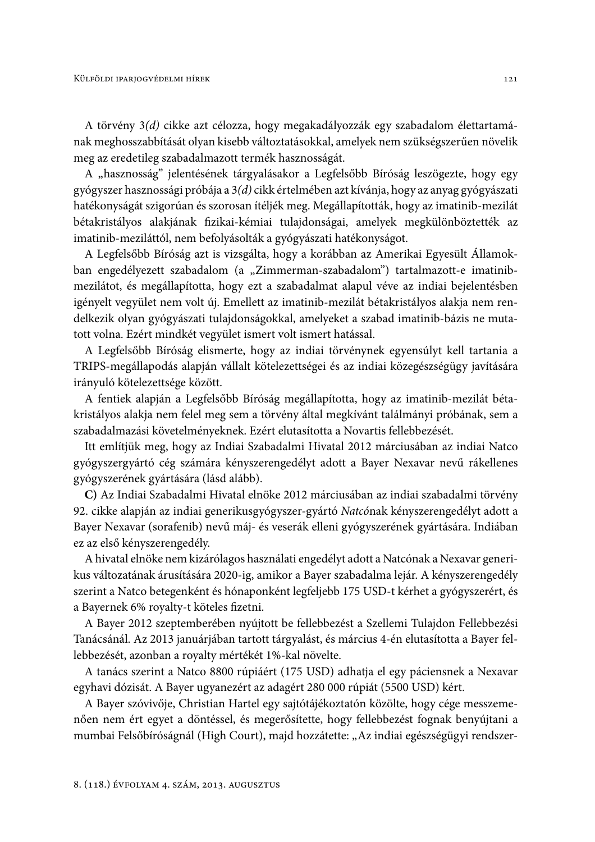A törvény 3(d) cikke azt célozza, hogy megakadályozzák egy szabadalom élettartamának meghosszabbítását olyan kisebb változtatásokkal, amelyek nem szükségszerűen növelik meg az eredetileg szabadalmazott termék hasznosságát.

A "hasznosság" jelentésének tárgyalásakor a Legfelsőbb Bíróság leszögezte, hogy egy gyógyszer hasznossági próbája a 3(d) cikk értelmében azt kívánja, hogy az anyag gyógyászati hatékonyságát szigorúan és szorosan ítéljék meg. Megállapították, hogy az imatinib-mezilát bétakristályos alakjának fizikai-kémiai tulajdonságai, amelyek megkülönböztették az imatinib-meziláttól, nem befolyásolták a gyógyászati hatékonyságot.

A Legfelsőbb Bíróság azt is vizsgálta, hogy a korábban az Amerikai Egyesült Államokban engedélyezett szabadalom (a "Zimmerman-szabadalom") tartalmazott-e imatinibmezilátot, és megállapította, hogy ezt a szabadalmat alapul véve az indiai bejelentésben igényelt vegyület nem volt új. Emellett az imatinib-mezilát bétakristályos alakja nem rendelkezik olyan gyógyászati tulajdonságokkal, amelyeket a szabad imatinib-bázis ne mutatott volna. Ezért mindkét vegyület ismert volt ismert hatással.

A Legfelsőbb Bíróság elismerte, hogy az indiai törvénynek egyensúlyt kell tartania a TRIPS-megállapodás alapján vállalt kötelezettségei és az indiai közegészségügy javítására irányuló kötelezettsége között.

A fentiek alapján a Legfelsőbb Bíróság megállapította, hogy az imatinib-mezilát bétakristályos alakja nem felel meg sem a törvény által megkívánt találmányi próbának, sem a szabadalmazási követelményeknek. Ezért elutasította a Novartis fellebbezését.

Itt említjük meg, hogy az Indiai Szabadalmi Hivatal 2012 márciusában az indiai Natco gyógyszergyártó cég számára kényszerengedélyt adott a Bayer Nexavar nevű rákellenes gyógyszerének gyártására (lásd alább).

C) Az Indiai Szabadalmi Hivatal elnöke 2012 márciusában az indiai szabadalmi törvény 92. cikke alapján az indiai generikusgyógyszer-gyártó Natcónak kényszerengedélyt adott a Bayer Nexavar (sorafenib) nevű máj- és veserák elleni gyógyszerének gyártására. Indiában ez az első kényszerengedély.

A hivatal elnöke nem kizárólagos használati engedélyt adott a Natcónak a Nexavar generikus változatának árusítására 2020-ig, amikor a Bayer szabadalma lejár. A kényszerengedély szerint a Natco betegenként és hónaponként legfeljebb 175 USD-t kérhet a gyógyszerért, és a Bayernek 6% royalty-t köteles fizetni.

A Bayer 2012 szeptemberében nyújtott be fellebbezést a Szellemi Tulajdon Fellebbezési Tanácsánál. Az 2013 januárjában tartott tárgyalást, és március 4-én elutasította a Bayer fellebbezését, azonban a royalty mértékét 1%-kal növelte.

A tanács szerint a Natco 8800 rúpiáért (175 USD) adhatja el egy páciensnek a Nexavar egyhavi dózisát. A Bayer ugyanezért az adagért 280 000 rúpiát (5500 USD) kért.

A Bayer szóvivője, Christian Hartel egy sajtótájékoztatón közölte, hogy cége messzemenően nem ért egyet a döntéssel, és megerősítette, hogy fellebbezést fognak benyújtani a mumbai Felsőbíróságnál (High Court), majd hozzátette: "Az indiai egészségügyi rendszer-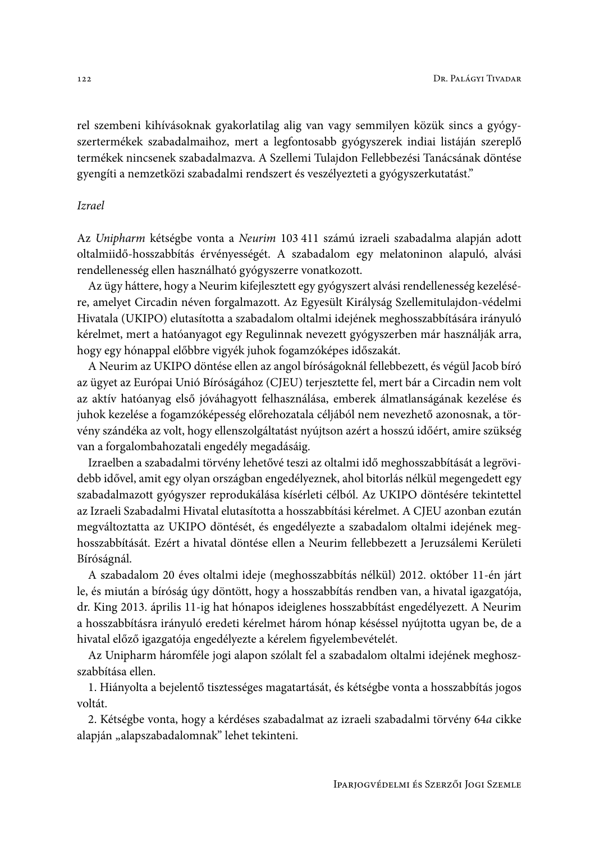rel szembeni kihívásoknak gyakorlatilag alig van vagy semmilyen közük sincs a gyógyszertermékek szabadalmaihoz, mert a legfontosabb gyógyszerek indiai listáján szereplő termékek nincsenek szabadalmazva. A Szellemi Tulajdon Fellebbezési Tanácsának döntése gyengíti a nemzetközi szabadalmi rendszert és veszélyezteti a gyógyszerkutatást."

# **Izrael**

Az Unipharm kétségbe vonta a Neurim 103 411 számú izraeli szabadalma alapján adott oltalmiidő-hosszabbítás érvényességét. A szabadalom egy melatoninon alapuló, alvási rendellenesség ellen használható gyógyszerre vonatkozott.

Az ügy háttere, hogy a Neurim kifejlesztett egy gyógyszert alvási rendellenesség kezelésére, amelyet Circadin néven forgalmazott. Az Egyesült Királyság Szellemitulajdon-védelmi Hivatala (UKIPO) elutasította a szabadalom oltalmi idejének meghosszabbítására irányuló kérelmet, mert a hatóanyagot egy Regulinnak nevezett gyógyszerben már használják arra, hogy egy hónappal előbbre vigyék juhok fogamzóképes időszakát.

A Neurim az UKIPO döntése ellen az angol bíróságoknál fellebbezett, és végül Jacob bíró az ügyet az Európai Unió Bíróságához (CJEU) terjesztette fel, mert bár a Circadin nem volt az aktív hatóanyag első jóváhagyott felhasználása, emberek álmatlanságának kezelése és juhok kezelése a fogamzóképesség előrehozatala céljából nem nevezhető azonosnak, a törvény szándéka az volt, hogy ellenszolgáltatást nyújtson azért a hosszú időért, amire szükség van a forgalombahozatali engedély megadásáig.

Izraelben a szabadalmi törvény lehetővé teszi az oltalmi idő meghosszabbítását a legrövidebb idővel, amit egy olyan országban engedélyeznek, ahol bitorlás nélkül megengedett egy szabadalmazott gyógyszer reprodukálása kísérleti célból. Az UKIPO döntésére tekintettel az Izraeli Szabadalmi Hivatal elutasította a hosszabbítási kérelmet. A CJEU azonban ezután megváltoztatta az UKIPO döntését, és engedélyezte a szabadalom oltalmi idejének meghosszabbítását. Ezért a hivatal döntése ellen a Neurim fellebbezett a Jeruzsálemi Kerületi Bíróságnál.

A szabadalom 20 éves oltalmi ideje (meghosszabbítás nélkül) 2012. október 11-én járt le, és miután a bíróság úgy döntött, hogy a hosszabbítás rendben van, a hivatal igazgatója, dr. King 2013. április 11-ig hat hónapos ideiglenes hosszabbítást engedélyezett. A Neurim a hosszabbításra irányuló eredeti kérelmet három hónap késéssel nyújtotta ugyan be, de a hivatal előző igazgatója engedélyezte a kérelem figyelembevételét.

Az Unipharm háromféle jogi alapon szólalt fel a szabadalom oltalmi idejének meghoszszabbítása ellen.

1. Hiányolta a bejelentő tisztességes magatartását, és kétségbe vonta a hosszabbítás jogos voltát.

2. Kétségbe vonta, hogy a kérdéses szabadalmat az izraeli szabadalmi törvény 64a cikke alapján "alapszabadalomnak" lehet tekinteni.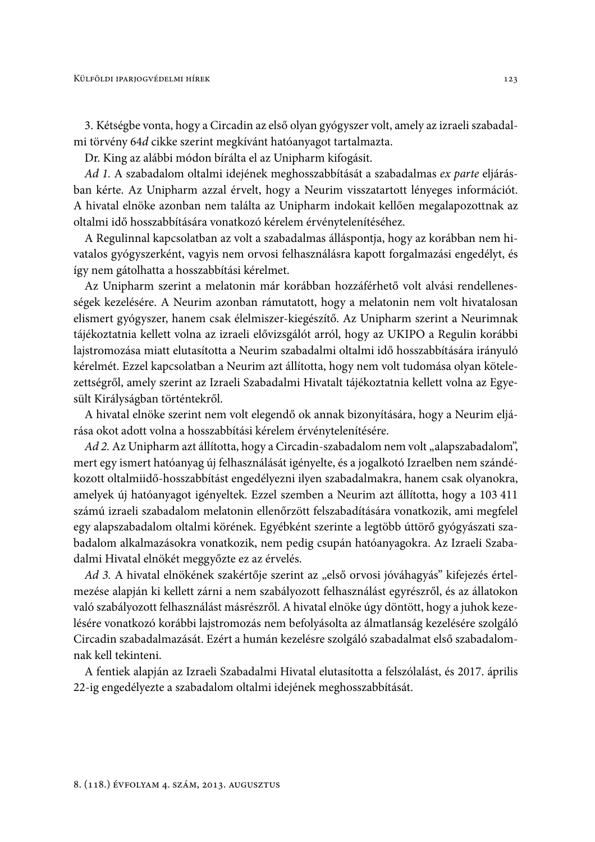3. Kétségbe vonta, hogy a Circadin az első olyan gyógyszer volt, amely az izraeli szabadalmi törvény 64d cikke szerint megkívánt hatóanyagot tartalmazta.

Dr. King az alábbi módon bírálta el az Unipharm kifogásit.

Ad 1. A szabadalom oltalmi idejének meghosszabbítását a szabadalmas ex parte eljárásban kérte. Az Unipharm azzal érvelt, hogy a Neurim visszatartott lényeges információt. A hivatal elnöke azonban nem találta az Unipharm indokait kellően megalapozottnak az oltalmi idő hosszabbítására vonatkozó kérelem érvénytelenítéséhez.

A Regulinnal kapcsolatban az volt a szabadalmas álláspontja, hogy az korábban nem hivatalos gyógyszerként, vagyis nem orvosi felhasználásra kapott forgalmazási engedélyt, és így nem gátolhatta a hosszabbítási kérelmet.

Az Unipharm szerint a melatonin már korábban hozzáférhető volt alvási rendellenességek kezelésére. A Neurim azonban rámutatott, hogy a melatonin nem volt hivatalosan elismert gyógyszer, hanem csak élelmiszer-kiegészítő. Az Unipharm szerint a Neurimnak tájékoztatnia kellett volna az izraeli elővizsgálót arról, hogy az UKIPO a Regulin korábbi lajstromozása miatt elutasította a Neurim szabadalmi oltalmi idő hosszabbítására irányuló kérelmét. Ezzel kapcsolatban a Neurim azt állította, hogy nem volt tudomása olyan kötelezettségről, amely szerint az Izraeli Szabadalmi Hivatalt tájékoztatnia kellett volna az Egyesült Királyságban történtekről.

A hivatal elnöke szerint nem volt elegendő ok annak bizonyítására, hogy a Neurim eljárása okot adott volna a hosszabbítási kérelem érvénytelenítésére.

Ad 2. Az Unipharm azt állította, hogy a Circadin-szabadalom nem volt "alapszabadalom", mert egy ismert hatóanyag új felhasználását igényelte, és a jogalkotó Izraelben nem szándékozott oltalmiidő-hosszabbítást engedélyezni ilyen szabadalmakra, hanem csak olyanokra, amelyek új hatóanyagot igényeltek. Ezzel szemben a Neurim azt állította, hogy a 103 411 számú izraeli szabadalom melatonin ellenőrzött felszabadítására vonatkozik, ami megfelel egy alapszabadalom oltalmi körének. Egyébként szerinte a legtöbb úttörő gyógyászati szabadalom alkalmazásokra vonatkozik, nem pedig csupán hatóanyagokra. Az Izraeli Szabadalmi Hivatal elnökét meggyőzte ez az érvelés.

Ad 3. A hivatal elnökének szakértője szerint az "első orvosi jóváhagyás" kifejezés értelmezése alapján ki kellett zárni a nem szabályozott felhasználást egyrészről, és az állatokon való szabályozott felhasználást másrészről. A hivatal elnöke úgy döntött, hogy a juhok kezelésére vonatkozó korábbi lajstromozás nem befolyásolta az álmatlanság kezelésére szolgáló Circadin szabadalmazását. Ezért a humán kezelésre szolgáló szabadalmat első szabadalomnak kell tekinteni.

A fentiek alapján az Izraeli Szabadalmi Hivatal elutasította a felszólalást, és 2017. április 22-ig engedélyezte a szabadalom oltalmi idejének meghosszabbítását.

 $123$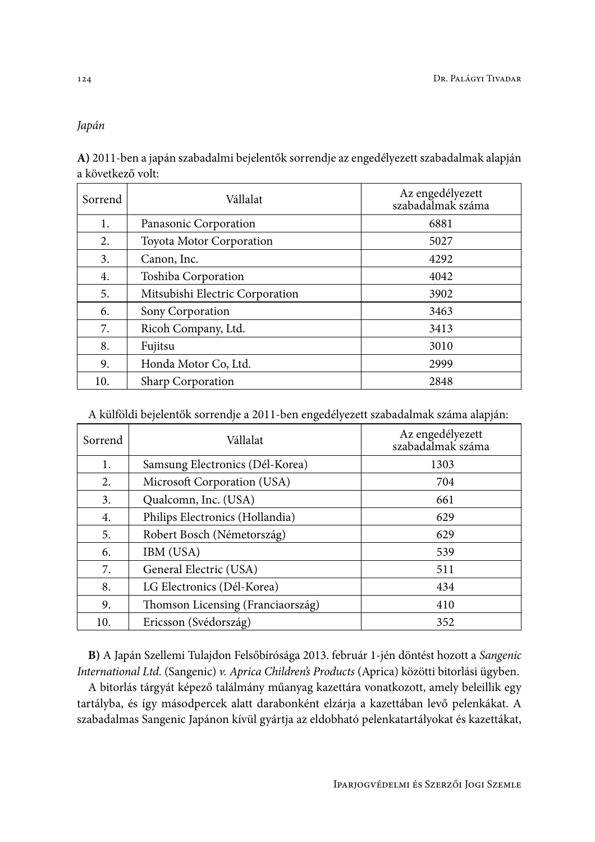# Japán

| A) 2011-ben a japán szabadalmi bejelentők sorrendje az engedélyezett szabadalmak alapján |  |
|------------------------------------------------------------------------------------------|--|
| a következő volt:                                                                        |  |

| Sorrend | Vállalat                        | Az engedélyezett<br>szabadalmak száma |
|---------|---------------------------------|---------------------------------------|
| 1.      | Panasonic Corporation           | 6881                                  |
| 2.      | <b>Toyota Motor Corporation</b> | 5027                                  |
| 3.      | Canon, Inc.                     | 4292                                  |
| 4.      | Toshiba Corporation             | 4042                                  |
| 5.      | Mitsubishi Electric Corporation | 3902                                  |
| 6.      | Sony Corporation                | 3463                                  |
| 7.      | Ricoh Company, Ltd.             | 3413                                  |
| 8.      | Fujitsu                         | 3010                                  |
| 9.      | Honda Motor Co, Ltd.            | 2999                                  |
| 10.     | <b>Sharp Corporation</b>        | 2848                                  |

A külföldi bejelentők sorrendje a 2011-ben engedélyezett szabadalmak száma alapján:

| Sorrend | Vállalat                          | Az engedélyezett<br>szabadalmak száma |
|---------|-----------------------------------|---------------------------------------|
| 1.      | Samsung Electronics (Dél-Korea)   | 1303                                  |
| 2.      | Microsoft Corporation (USA)       | 704                                   |
| 3.      | Qualcomn, Inc. (USA)              | 661                                   |
| 4.      | Philips Electronics (Hollandia)   | 629                                   |
| 5.      | Robert Bosch (Németország)        | 629                                   |
| 6.      | IBM (USA)                         | 539                                   |
| 7.      | General Electric (USA)            | 511                                   |
| 8.      | LG Electronics (Dél-Korea)        | 434                                   |
| 9.      | Thomson Licensing (Franciaország) | 410                                   |
| 10.     | Ericsson (Svédország)             | 352                                   |

B) A Japán Szellemi Tulajdon Felsőbírósága 2013. február 1-jén döntést hozott a Sangenic International Ltd. (Sangenic) v. Aprica Children's Products (Aprica) közötti bitorlási ügyben.

A bitorlás tárgyát képező találmány műanyag kazettára vonatkozott, amely beleillik egy tartályba, és így másodpercek alatt darabonként elzárja a kazettában levő pelenkákat. A szabadalmas Sangenic Japánon kívül gyártja az eldobható pelenkatartályokat és kazettákat,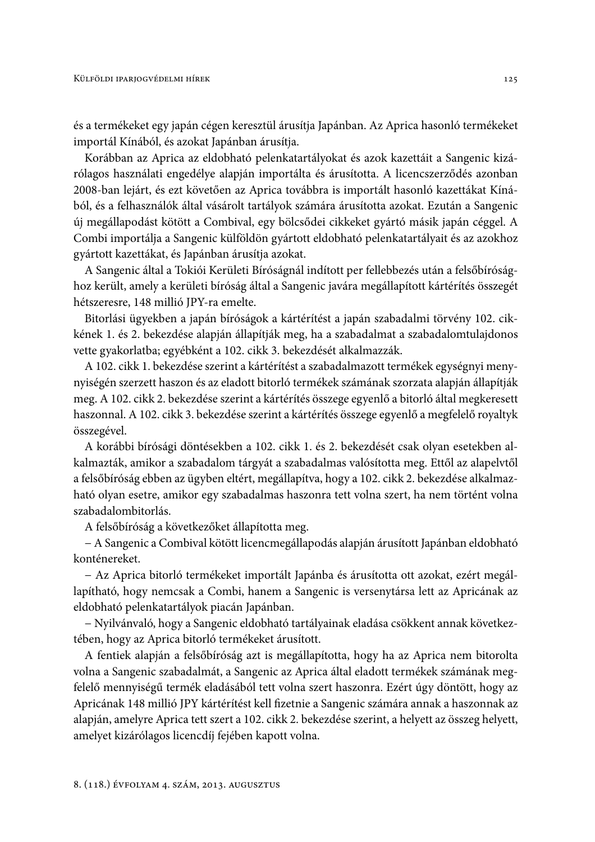és a termékeket egy japán cégen keresztül árusítja Japánban. Az Aprica hasonló termékeket importál Kínából, és azokat Japánban árusítja.

Korábban az Aprica az eldobható pelenkatartályokat és azok kazettáit a Sangenic kizárólagos használati engedélye alapján importálta és árusította. A licencszerződés azonban 2008-ban lejárt, és ezt követően az Aprica továbbra is importált hasonló kazettákat Kínából, és a felhasználók által vásárolt tartályok számára árusította azokat. Ezután a Sangenic új megállapodást kötött a Combival, egy bölcsődei cikkeket gyártó másik japán céggel. A Combi importálja a Sangenic külföldön gyártott eldobható pelenkatartályait és az azokhoz gyártott kazettákat, és Japánban árusítja azokat.

A Sangenic által a Tokiói Kerületi Bíróságnál indított per fellebbezés után a felsőbírósághoz került, amely a kerületi bíróság által a Sangenic javára megállapított kártérítés összegét hétszeresre, 148 millió JPY-ra emelte.

Bitorlási ügyekben a japán bíróságok a kártérítést a japán szabadalmi törvény 102. cikkének 1. és 2. bekezdése alapján állapítják meg, ha a szabadalmat a szabadalomtulajdonos vette gyakorlatba; egyébként a 102. cikk 3. bekezdését alkalmazzák.

A 102. cikk 1. bekezdése szerint a kártérítést a szabadalmazott termékek egységnyi menynyiségén szerzett haszon és az eladott bitorló termékek számának szorzata alapján állapítják meg. A 102. cikk 2. bekezdése szerint a kártérítés összege egyenlő a bitorló által megkeresett haszonnal. A 102. cikk 3. bekezdése szerint a kártérítés összege egyenlő a megfelelő royaltyk összegével.

A korábbi bírósági döntésekben a 102. cikk 1. és 2. bekezdését csak olyan esetekben alkalmazták, amikor a szabadalom tárgyát a szabadalmas valósította meg. Ettől az alapelvtől a felsőbíróság ebben az ügyben eltért, megállapítva, hogy a 102. cikk 2. bekezdése alkalmazható olyan esetre, amikor egy szabadalmas haszonra tett volna szert, ha nem történt volna szabadalombitorlás.

A felsőbíróság a következőket állapította meg.

- A Sangenic a Combival kötött licencmegállapodás alapján árusított Japánban eldobható konténereket.

- Az Aprica bitorló termékeket importált Japánba és árusította ott azokat, ezért megállapítható, hogy nemcsak a Combi, hanem a Sangenic is versenytársa lett az Apricának az eldobható pelenkatartályok piacán Japánban.

- Nyilvánvaló, hogy a Sangenic eldobható tartályainak eladása csökkent annak következtében, hogy az Aprica bitorló termékeket árusított.

A fentiek alapján a felsőbíróság azt is megállapította, hogy ha az Aprica nem bitorolta volna a Sangenic szabadalmát, a Sangenic az Aprica által eladott termékek számának megfelelő mennyiségű termék eladásából tett volna szert haszonra. Ezért úgy döntött, hogy az Apricának 148 millió JPY kártérítést kell fizetnie a Sangenic számára annak a haszonnak az alapján, amelyre Aprica tett szert a 102. cikk 2. bekezdése szerint, a helyett az összeg helyett, amelyet kizárólagos licencdíj fejében kapott volna.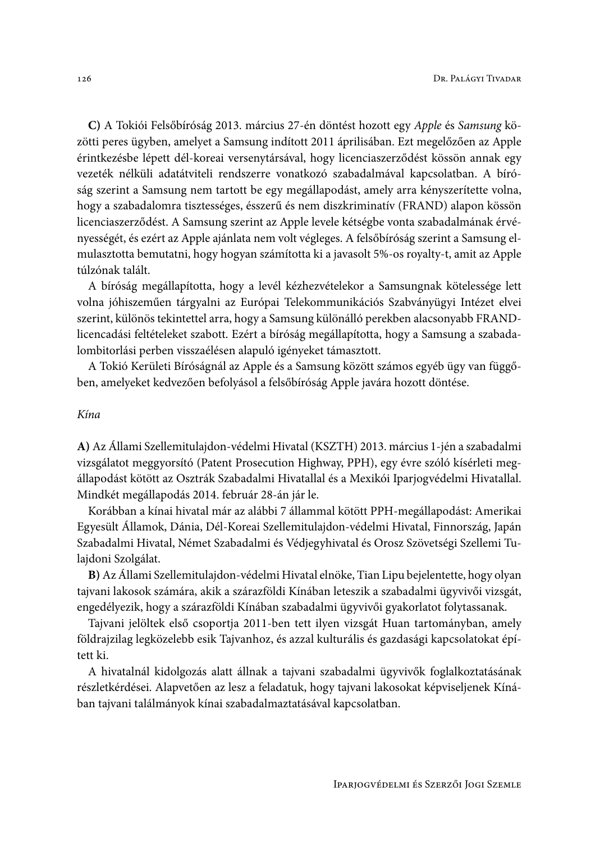C) A Tokiói Felsőbíróság 2013. március 27-én döntést hozott egy Apple és Samsung közötti peres ügyben, amelyet a Samsung indított 2011 áprilisában. Ezt megelőzően az Apple érintkezésbe lépett dél-koreai versenytársával, hogy licenciaszerződést kössön annak egy vezeték nélküli adatátviteli rendszerre vonatkozó szabadalmával kapcsolatban. A bíróság szerint a Samsung nem tartott be egy megállapodást, amely arra kényszerítette volna, hogy a szabadalomra tisztességes, ésszerű és nem diszkriminatív (FRAND) alapon kössön licenciaszerződést. A Samsung szerint az Apple levele kétségbe vonta szabadalmának érvényességét, és ezért az Apple ajánlata nem volt végleges. A felsőbíróság szerint a Samsung elmulasztotta bemutatni, hogy hogyan számította ki a javasolt 5%-os royalty-t, amit az Apple túlzónak talált.

A bíróság megállapította, hogy a levél kézhezvételekor a Samsungnak kötelessége lett volna jóhiszeműen tárgyalni az Európai Telekommunikációs Szabványügyi Intézet elvei szerint, különös tekintettel arra, hogy a Samsung különálló perekben alacsonyabb FRANDlicencadási feltételeket szabott. Ezért a bíróság megállapította, hogy a Samsung a szabadalombitorlási perben visszaélésen alapuló igényeket támasztott.

A Tokió Kerületi Bíróságnál az Apple és a Samsung között számos egyéb ügy van függőben, amelyeket kedvezően befolyásol a felsőbíróság Apple javára hozott döntése.

# Kína

A) Az Állami Szellemitulajdon-védelmi Hivatal (KSZTH) 2013. március 1-jén a szabadalmi vizsgálatot meggyorsító (Patent Prosecution Highway, PPH), egy évre szóló kísérleti megállapodást kötött az Osztrák Szabadalmi Hivatallal és a Mexikói Iparjogvédelmi Hivatallal. Mindkét megállapodás 2014. február 28-án jár le.

Korábban a kínai hivatal már az alábbi 7 állammal kötött PPH-megállapodást: Amerikai Egyesült Államok, Dánia, Dél-Koreai Szellemitulajdon-védelmi Hivatal, Finnország, Japán Szabadalmi Hivatal, Német Szabadalmi és Védjegyhivatal és Orosz Szövetségi Szellemi Tulajdoni Szolgálat.

B) Az Állami Szellemitulajdon-védelmi Hivatal elnöke, Tian Lipu bejelentette, hogy olyan tajvani lakosok számára, akik a szárazföldi Kínában leteszik a szabadalmi ügyvivői vizsgát, engedélyezik, hogy a szárazföldi Kínában szabadalmi ügyvivői gyakorlatot folytassanak.

Tajvani jelöltek első csoportja 2011-ben tett ilyen vizsgát Huan tartományban, amely földrajzilag legközelebb esik Tajvanhoz, és azzal kulturális és gazdasági kapcsolatokat épített ki.

A hivatalnál kidolgozás alatt állnak a tajvani szabadalmi ügyvivők foglalkoztatásának részletkérdései. Alapvetően az lesz a feladatuk, hogy tajvani lakosokat képviseljenek Kínában tajvani találmányok kínai szabadalmaztatásával kapcsolatban.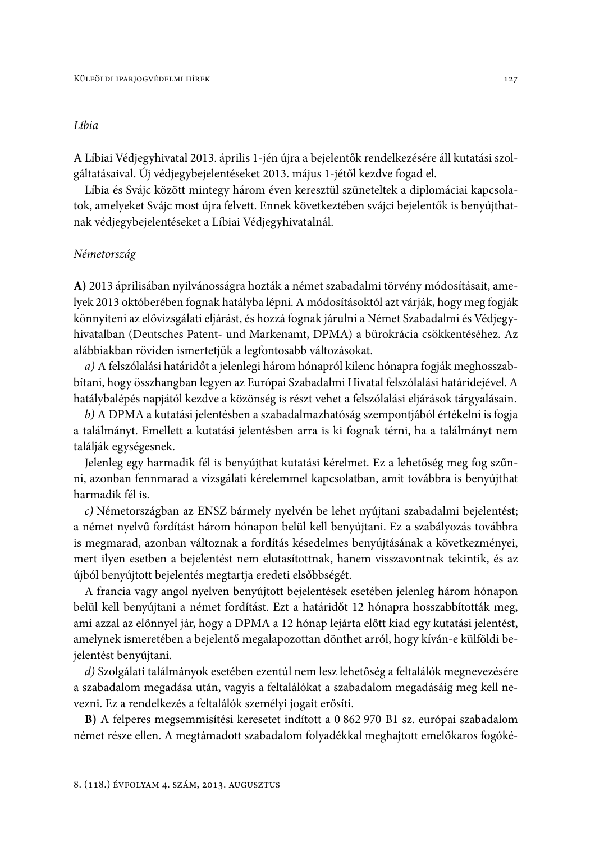# Líbia

A Líbiai Védjegyhivatal 2013. április 1-jén újra a bejelentők rendelkezésére áll kutatási szolgáltatásaival. Új védjegybejelentéseket 2013. május 1-jétől kezdve fogad el.

Líbia és Svájc között mintegy három éven keresztül szüneteltek a diplomáciai kapcsolatok, amelyeket Svájc most újra felvett. Ennek következtében svájci bejelentők is benyújthatnak védjegybejelentéseket a Líbiai Védjegyhivatalnál.

## Németország

A) 2013 áprilisában nyilvánosságra hozták a német szabadalmi törvény módosításait, amelyek 2013 októberében fognak hatályba lépni. A módosításoktól azt várják, hogy meg fogják könnyíteni az elővizsgálati eljárást, és hozzá fognak járulni a Német Szabadalmi és Védjegyhivatalban (Deutsches Patent- und Markenamt, DPMA) a bürokrácia csökkentéséhez. Az alábbiakban röviden ismertetjük a legfontosabb változásokat.

a) A felszólalási határidőt a jelenlegi három hónapról kilenc hónapra fogják meghosszabbítani, hogy összhangban legyen az Európai Szabadalmi Hivatal felszólalási határidejével. A hatálybalépés napjától kezdve a közönség is részt vehet a felszólalási eljárások tárgyalásain.

b) A DPMA a kutatási jelentésben a szabadalmazhatóság szempontjából értékelni is fogja a találmányt. Emellett a kutatási jelentésben arra is ki fognak térni, ha a találmányt nem találják egységesnek.

Jelenleg egy harmadik fél is benyújthat kutatási kérelmet. Ez a lehetőség meg fog szűnni, azonban fennmarad a vizsgálati kérelemmel kapcsolatban, amit továbbra is benyújthat harmadik fél is.

c) Németországban az ENSZ bármely nyelvén be lehet nyújtani szabadalmi bejelentést; a német nyelvű fordítást három hónapon belül kell benyújtani. Ez a szabályozás továbbra is megmarad, azonban változnak a fordítás késedelmes benyújtásának a következményei, mert ilyen esetben a bejelentést nem elutasítottnak, hanem visszavontnak tekintik, és az újból benyújtott bejelentés megtartja eredeti elsőbbségét.

A francia vagy angol nyelven benyújtott bejelentések esetében jelenleg három hónapon belül kell benyújtani a német fordítást. Ezt a határidőt 12 hónapra hosszabbították meg, ami azzal az előnnyel jár, hogy a DPMA a 12 hónap lejárta előtt kiad egy kutatási jelentést, amelynek ismeretében a bejelentő megalapozottan dönthet arról, hogy kíván-e külföldi bejelentést benyújtani.

d) Szolgálati találmányok esetében ezentúl nem lesz lehetőség a feltalálók megnevezésére a szabadalom megadása után, vagyis a feltalálókat a szabadalom megadásáig meg kell nevezni. Ez a rendelkezés a feltalálók személyi jogait erősíti.

B) A felperes megsemmisítési keresetet indított a 0 862 970 B1 sz. európai szabadalom német része ellen. A megtámadott szabadalom folyadékkal meghajtott emelőkaros fogóké-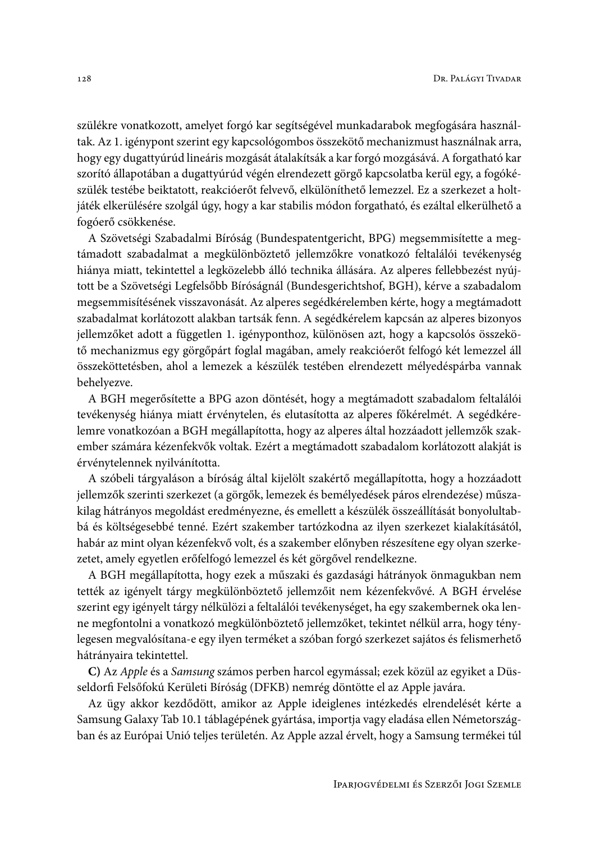szülékre vonatkozott, amelyet forgó kar segítségével munkadarabok megfogására használtak. Az 1. igénypont szerint egy kapcsológombos összekötő mechanizmust használnak arra, hogy egy dugattyúrúd lineáris mozgását átalakítsák a kar forgó mozgásává. A forgatható kar szorító állapotában a dugattyúrúd végén elrendezett görgő kapcsolatba kerül egy, a fogókészülék testébe beiktatott, reakcióerőt felvevő, elkülöníthető lemezzel. Ez a szerkezet a holtjáték elkerülésére szolgál úgy, hogy a kar stabilis módon forgatható, és ezáltal elkerülhető a fogóerő csökkenése.

A Szövetségi Szabadalmi Bíróság (Bundespatentgericht, BPG) megsemmisítette a megtámadott szabadalmat a megkülönböztető jellemzőkre vonatkozó feltalálói tevékenység hiánya miatt, tekintettel a legközelebb álló technika állására. Az alperes fellebbezést nyújtott be a Szövetségi Legfelsőbb Bíróságnál (Bundesgerichtshof, BGH), kérve a szabadalom megsemmisítésének visszavonását. Az alperes segédkérelemben kérte, hogy a megtámadott szabadalmat korlátozott alakban tartsák fenn. A segédkérelem kapcsán az alperes bizonyos jellemzőket adott a független 1. igényponthoz, különösen azt, hogy a kapcsolós összekötő mechanizmus egy görgőpárt foglal magában, amely reakcióerőt felfogó két lemezzel áll összeköttetésben, ahol a lemezek a készülék testében elrendezett mélyedéspárba vannak behelyezve.

A BGH megerősítette a BPG azon döntését, hogy a megtámadott szabadalom feltalálói tevékenység hiánya miatt érvénytelen, és elutasította az alperes főkérelmét. A segédkérelemre vonatkozóan a BGH megállapította, hogy az alperes által hozzáadott jellemzők szakember számára kézenfekvők voltak. Ezért a megtámadott szabadalom korlátozott alakját is érvénytelennek nyilvánította.

A szóbeli tárgyaláson a bíróság által kijelölt szakértő megállapította, hogy a hozzáadott jellemzők szerinti szerkezet (a görgők, lemezek és bemélyedések páros elrendezése) műszakilag hátrányos megoldást eredményezne, és emellett a készülék összeállítását bonyolultabbá és költségesebbé tenné. Ezért szakember tartózkodna az ilyen szerkezet kialakításától, habár az mint olyan kézenfekvő volt, és a szakember előnyben részesítene egy olyan szerkezetet, amely egyetlen erőfelfogó lemezzel és két görgővel rendelkezne.

A BGH megállapította, hogy ezek a műszaki és gazdasági hátrányok önmagukban nem tették az igényelt tárgy megkülönböztető jellemzőit nem kézenfekvővé. A BGH érvelése szerint egy igényelt tárgy nélkülözi a feltalálói tevékenységet, ha egy szakembernek oka lenne megfontolni a vonatkozó megkülönböztető jellemzőket, tekintet nélkül arra, hogy ténylegesen megvalósítana-e egy ilyen terméket a szóban forgó szerkezet sajátos és felismerhető hátrányaira tekintettel.

C) Az Apple és a Samsung számos perben harcol egymással; ezek közül az egyiket a Düsseldorfi Felsőfokú Kerületi Bíróság (DFKB) nemrég döntötte el az Apple javára.

Az ügy akkor kezdődött, amikor az Apple ideiglenes intézkedés elrendelését kérte a Samsung Galaxy Tab 10.1 táblagépének gyártása, importja vagy eladása ellen Németországban és az Európai Unió teljes területén. Az Apple azzal érvelt, hogy a Samsung termékei túl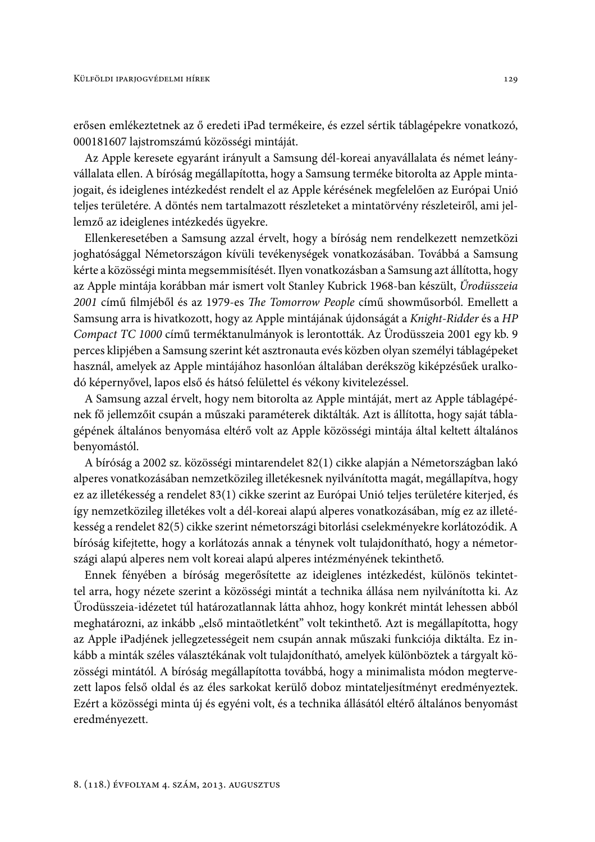erősen emlékeztetnek az ő eredeti iPad termékeire, és ezzel sértik táblagépekre vonatkozó, 000181607 lajstromszámú közösségi mintáját.

Az Apple keresete egyaránt irányult a Samsung dél-koreai anyavállalata és német leányvállalata ellen. A bíróság megállapította, hogy a Samsung terméke bitorolta az Apple mintajogait, és ideiglenes intézkedést rendelt el az Apple kérésének megfelelően az Európai Unió teljes területére. A döntés nem tartalmazott részleteket a mintatörvény részleteiről, ami jellemző az ideiglenes intézkedés ügyekre.

Ellenkeresetében a Samsung azzal érvelt, hogy a bíróság nem rendelkezett nemzetközi joghatósággal Németországon kívüli tevékenységek vonatkozásában. Továbbá a Samsung kérte a közösségi minta megsemmisítését. Ilyen vonatkozásban a Samsung azt állította, hogy az Apple mintája korábban már ismert volt Stanley Kubrick 1968-ban készült, Űrodüsszeia 2001 című filmjéből és az 1979-es The Tomorrow People című showműsorból. Emellett a Samsung arra is hivatkozott, hogy az Apple mintájának újdonságát a Knight-Ridder és a HP Compact TC 1000 című terméktanulmányok is lerontották. Az Ürodüsszeia 2001 egy kb. 9 perces klipjében a Samsung szerint két asztronauta evés közben olyan személyi táblagépeket használ, amelyek az Apple mintájához hasonlóan általában derékszög kiképzésűek uralkodó képernyővel, lapos első és hátsó felülettel és vékony kivitelezéssel.

A Samsung azzal érvelt, hogy nem bitorolta az Apple mintáját, mert az Apple táblagépének fő jellemzőit csupán a műszaki paraméterek diktálták. Azt is állította, hogy saját táblagépének általános benyomása eltérő volt az Apple közösségi mintája által keltett általános benyomástól.

A bíróság a 2002 sz. közösségi mintarendelet 82(1) cikke alapján a Németországban lakó alperes vonatkozásában nemzetközileg illetékesnek nyilvánította magát, megállapítva, hogy ez az illetékesség a rendelet 83(1) cikke szerint az Európai Unió teljes területére kiterjed, és így nemzetközileg illetékes volt a dél-koreai alapú alperes vonatkozásában, míg ez az illetékesség a rendelet 82(5) cikke szerint németországi bitorlási cselekményekre korlátozódik. A bíróság kifejtette, hogy a korlátozás annak a ténynek volt tulajdonítható, hogy a németországi alapú alperes nem volt koreai alapú alperes intézményének tekinthető.

Ennek fényében a bíróság megerősítette az ideiglenes intézkedést, különös tekintettel arra, hogy nézete szerint a közösségi mintát a technika állása nem nyilvánította ki. Az Űrodüsszeia-idézetet túl határozatlannak látta ahhoz, hogy konkrét mintát lehessen abból meghatározni, az inkább "első mintaötletként" volt tekinthető. Azt is megállapította, hogy az Apple iPadjének jellegzetességeit nem csupán annak műszaki funkciója diktálta. Ez inkább a minták széles választékának volt tulajdonítható, amelyek különböztek a tárgyalt közösségi mintától. A bíróság megállapította továbbá, hogy a minimalista módon megtervezett lapos felső oldal és az éles sarkokat kerülő doboz mintateljesítményt eredményeztek. Ezért a közösségi minta új és egyéni volt, és a technika állásától eltérő általános benyomást eredményezett.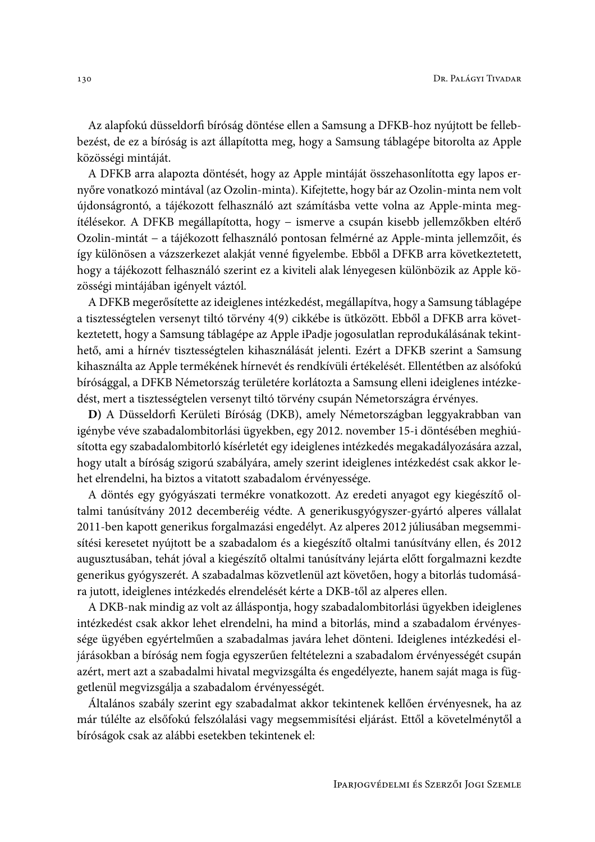Az alapfokú düsseldorfi bíróság döntése ellen a Samsung a DFKB-hoz nyújtott be fellebbezést, de ez a bíróság is azt állapította meg, hogy a Samsung táblagépe bitorolta az Apple közösségi mintáját.

A DFKB arra alapozta döntését, hogy az Apple mintáját összehasonlította egy lapos ernyőre vonatkozó mintával (az Ozolin-minta). Kifejtette, hogy bár az Ozolin-minta nem volt újdonságrontó, a tájékozott felhasználó azt számításba vette volna az Apple-minta megítélésekor. A DFKB megállapította, hogy – ismerve a csupán kisebb jellemzőkben eltérő Ozolin-mintát – a tájékozott felhasználó pontosan felmérné az Apple-minta jellemzőit, és így különösen a vázszerkezet alakját venné figyelembe. Ebből a DFKB arra következtetett, hogy a tájékozott felhasználó szerint ez a kiviteli alak lényegesen különbözik az Apple közösségi mintájában igényelt váztól.

A DFKB megerősítette az ideiglenes intézkedést, megállapítva, hogy a Samsung táblagépe a tisztességtelen versenyt tiltó törvény 4(9) cikkébe is ütközött. Ebből a DFKB arra következtetett, hogy a Samsung táblagépe az Apple iPadje jogosulatlan reprodukálásának tekinthető, ami a hírnév tisztességtelen kihasználását jelenti. Ezért a DFKB szerint a Samsung kihasználta az Apple termékének hírnevét és rendkívüli értékelését. Ellentétben az alsófokú bírósággal, a DFKB Németország területére korlátozta a Samsung elleni ideiglenes intézkedést, mert a tisztességtelen versenyt tiltó törvény csupán Németországra érvényes.

D) A Düsseldorfi Kerületi Bíróság (DKB), amely Németországban leggyakrabban van igénybe véve szabadalombitorlási ügyekben, egy 2012. november 15-i döntésében meghiúsította egy szabadalombitorló kísérletét egy ideiglenes intézkedés megakadályozására azzal, hogy utalt a bíróság szigorú szabályára, amely szerint ideiglenes intézkedést csak akkor lehet elrendelni, ha biztos a vitatott szabadalom érvényessége.

A döntés egy gyógyászati termékre vonatkozott. Az eredeti anyagot egy kiegészítő oltalmi tanúsítvány 2012 decemberéig védte. A generikusgyógyszer-gyártó alperes vállalat 2011-ben kapott generikus forgalmazási engedélyt. Az alperes 2012 júliusában megsemmisítési keresetet nyújtott be a szabadalom és a kiegészítő oltalmi tanúsítvány ellen, és 2012 augusztusában, tehát jóval a kiegészítő oltalmi tanúsítvány lejárta előtt forgalmazni kezdte generikus gyógyszerét. A szabadalmas közvetlenül azt követően, hogy a bitorlás tudomására jutott, ideiglenes intézkedés elrendelését kérte a DKB-től az alperes ellen.

A DKB-nak mindig az volt az álláspontja, hogy szabadalombitorlási ügyekben ideiglenes intézkedést csak akkor lehet elrendelni, ha mind a bitorlás, mind a szabadalom érvényessége ügyében egyértelműen a szabadalmas javára lehet dönteni. Ideiglenes intézkedési eljárásokban a bíróság nem fogja egyszerűen feltételezni a szabadalom érvényességét csupán azért, mert azt a szabadalmi hivatal megvizsgálta és engedélyezte, hanem saját maga is függetlenül megvizsgálja a szabadalom érvényességét.

Általános szabály szerint egy szabadalmat akkor tekintenek kellően érvényesnek, ha az már túlélte az elsőfokú felszólalási vagy megsemmisítési eljárást. Ettől a követelménytől a bíróságok csak az alábbi esetekben tekintenek el: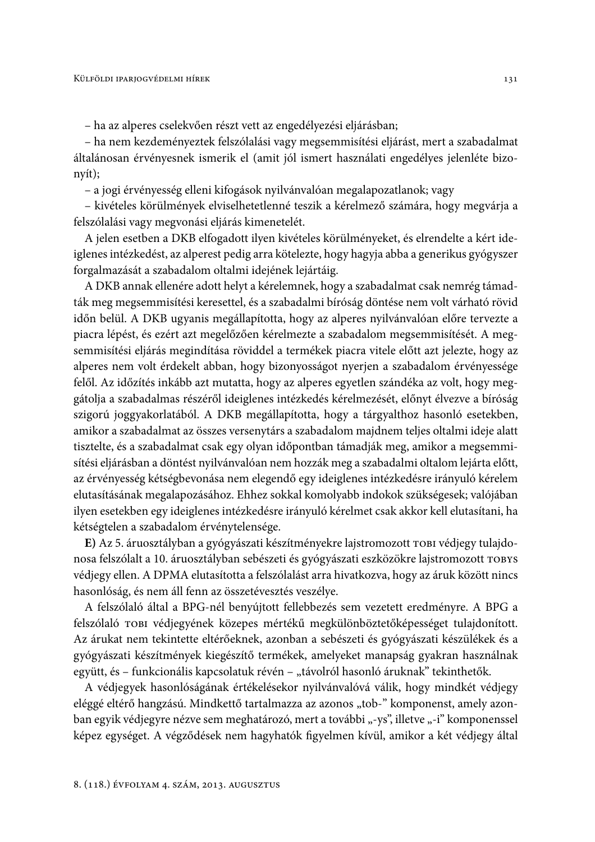- ha az alperes cselekvően részt vett az engedélyezési eljárásban;

- ha nem kezdeményeztek felszólalási vagy megsemmisítési eljárást, mert a szabadalmat általánosan érvényesnek ismerik el (amit jól ismert használati engedélyes jelenléte bizo $nv(t);$ 

- a jogi érvényesség elleni kifogások nyilvánvalóan megalapozatlanok; vagy

– kivételes körülmények elviselhetetlenné teszik a kérelmező számára, hogy megvárja a felszólalási vagy megvonási eljárás kimenetelét.

A jelen esetben a DKB elfogadott ilyen kivételes körülményeket, és elrendelte a kért ideiglenes intézkedést, az alperest pedig arra kötelezte, hogy hagyja abba a generikus gyógyszer forgalmazását a szabadalom oltalmi idejének lejártáig.

A DKB annak ellenére adott helyt a kérelemnek, hogy a szabadalmat csak nemrég támadták meg megsemmisítési keresettel, és a szabadalmi bíróság döntése nem volt várható rövid időn belül. A DKB ugyanis megállapította, hogy az alperes nyilvánvalóan előre tervezte a piacra lépést, és ezért azt megelőzően kérelmezte a szabadalom megsemmisítését. A megsemmisítési eljárás megindítása röviddel a termékek piacra vitele előtt azt jelezte, hogy az alperes nem volt érdekelt abban, hogy bizonyosságot nyerjen a szabadalom érvényessége felől. Az időzítés inkább azt mutatta, hogy az alperes egyetlen szándéka az volt, hogy meggátolja a szabadalmas részéről ideiglenes intézkedés kérelmezését, előnyt élvezve a bíróság szigorú joggyakorlatából. A DKB megállapította, hogy a tárgyalthoz hasonló esetekben, amikor a szabadalmat az összes versenytárs a szabadalom majdnem teljes oltalmi ideje alatt tisztelte, és a szabadalmat csak egy olyan időpontban támadják meg, amikor a megsemmisítési eljárásban a döntést nyilvánvalóan nem hozzák meg a szabadalmi oltalom lejárta előtt, az érvényesség kétségbevonása nem elegendő egy ideiglenes intézkedésre irányuló kérelem elutasításának megalapozásához. Ehhez sokkal komolyabb indokok szükségesek; valójában ilyen esetekben egy ideiglenes intézkedésre irányuló kérelmet csak akkor kell elutasítani, ha kétségtelen a szabadalom érvénytelensége.

E) Az 5. áruosztályban a gyógyászati készítményekre lajstromozott TOBI védjegy tulajdonosa felszólalt a 10. áruosztályban sebészeti és gyógyászati eszközökre lajstromozott robys védjegy ellen. A DPMA elutasította a felszólalást arra hivatkozva, hogy az áruk között nincs hasonlóság, és nem áll fenn az összetévesztés veszélye.

A felszólaló által a BPG-nél benyújtott fellebbezés sem vezetett eredményre. A BPG a felszólaló TOBI védjegyének közepes mértékű megkülönböztetőképességet tulajdonított. Az árukat nem tekintette eltérőeknek, azonban a sebészeti és gyógyászati készülékek és a gyógyászati készítmények kiegészítő termékek, amelyeket manapság gyakran használnak együtt, és - funkcionális kapcsolatuk révén - "távolról hasonló áruknak" tekinthetők.

A védjegyek hasonlóságának értékelésekor nyilvánvalóvá válik, hogy mindkét védjegy eléggé eltérő hangzású. Mindkettő tartalmazza az azonos "tob-" komponenst, amely azonban egyik védjegyre nézve sem meghatározó, mert a további "-ys", illetve "-i" komponenssel képez egységet. A végződések nem hagyhatók figyelmen kívül, amikor a két védjegy által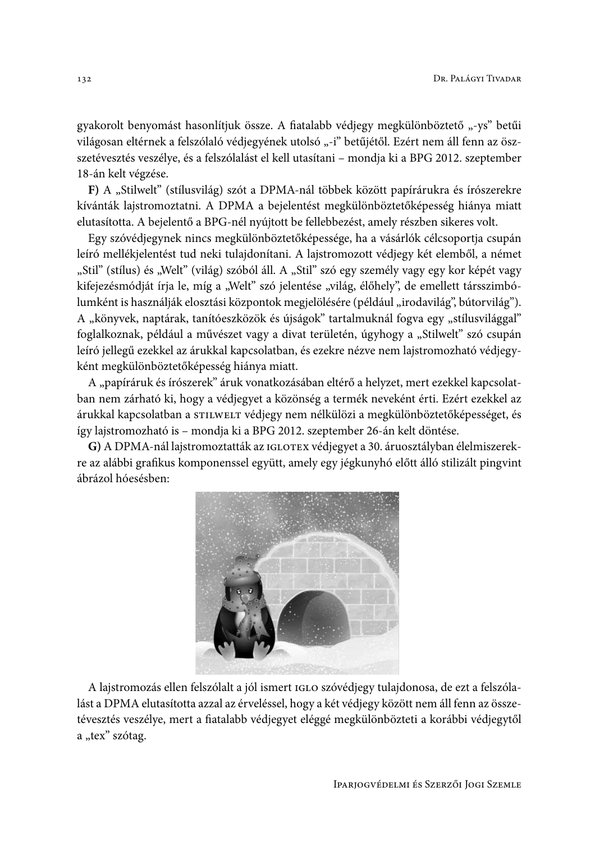gyakorolt benyomást hasonlítjuk össze. A fiatalabb védjegy megkülönböztető "-ys" betűi világosan eltérnek a felszólaló védjegyének utolsó "-i" betűjétől. Ezért nem áll fenn az öszszetévesztés veszélye, és a felszólalást el kell utasítani – mondja ki a BPG 2012. szeptember 18-án kelt végzése.

F) A "Stilwelt" (stílusvilág) szót a DPMA-nál többek között papírárukra és írószerekre kívánták lajstromoztatni. A DPMA a bejelentést megkülönböztetőképesség hiánya miatt elutasította. A bejelentő a BPG-nél nyújtott be fellebbezést, amely részben sikeres volt.

Egy szóvédjegynek nincs megkülönböztetőképessége, ha a vásárlók célcsoportja csupán leíró mellékjelentést tud neki tulajdonítani. A lajstromozott védjegy két elemből, a német "Stil" (stílus) és "Welt" (világ) szóból áll. A "Stil" szó egy személy vagy egy kor képét vagy kifejezésmódját írja le, míg a "Welt" szó jelentése "világ, élőhely", de emellett társszimbólumként is használják elosztási központok megjelölésére (például "irodavilág", bútorvilág"). A "könyvek, naptárak, tanítóeszközök és újságok" tartalmuknál fogya egy "stílusvilággal" foglalkoznak, például a művészet vagy a divat területén, úgyhogy a "Stilwelt" szó csupán leíró jellegű ezekkel az árukkal kapcsolatban, és ezekre nézve nem lajstromozható védjegyként megkülönböztetőképesség hiánya miatt.

A "papíráruk és írószerek" áruk vonatkozásában eltérő a helyzet, mert ezekkel kapcsolatban nem zárható ki, hogy a védjegyet a közönség a termék neveként érti. Ezért ezekkel az árukkal kapcsolatban a sTILWELT védjegy nem nélkülözi a megkülönböztetőképességet, és így lajstromozható is - mondja ki a BPG 2012. szeptember 26-án kelt döntése.

G) A DPMA-nál lajstromoztatták az IGLOTEX védjegyet a 30. áruosztályban élelmiszerekre az alábbi grafikus komponenssel együtt, amely egy jégkunyhó előtt álló stilizált pingvint ábrázol hóesésben:



A lajstromozás ellen felszólalt a jól ismert IGLO szóvédjegy tulajdonosa, de ezt a felszólalást a DPMA elutasította azzal az érveléssel, hogy a két védjegy között nem áll fenn az összetévesztés veszélye, mert a fiatalabb védjegyet eléggé megkülönbözteti a korábbi védjegytől a "tex" szótag.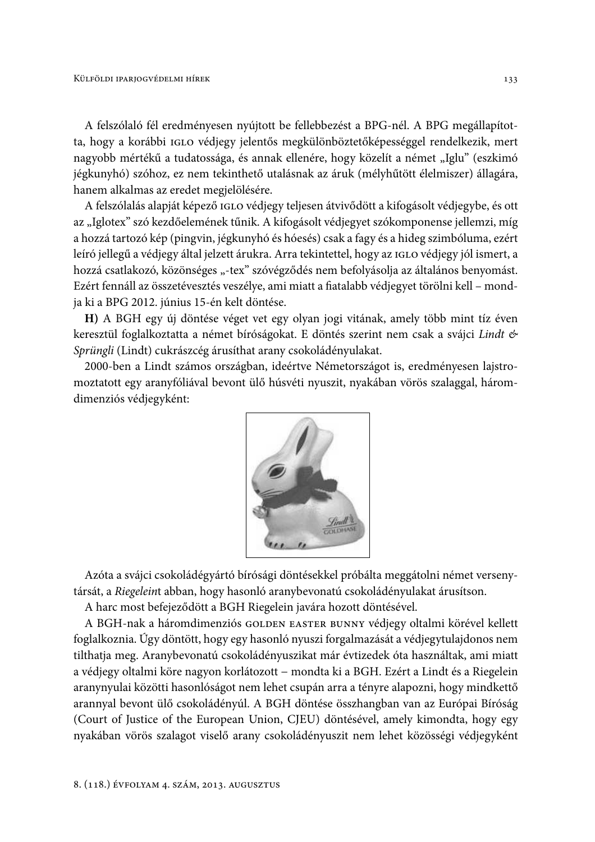A felszólaló fél eredményesen nyújtott be fellebbezést a BPG-nél. A BPG megállapította, hogy a korábbi IGLO védjegy jelentős megkülönböztetőképességgel rendelkezik, mert nagyobb mértékű a tudatossága, és annak ellenére, hogy közelít a német "Iglu" (eszkimó jégkunyhó) szóhoz, ez nem tekinthető utalásnak az áruk (mélyhűtött élelmiszer) állagára, hanem alkalmas az eredet megjelölésére.

A felszólalás alapját képező IGLO védjegy teljesen átvivődött a kifogásolt védjegybe, és ott az "Iglotex" szó kezdőelemének tűnik. A kifogásolt védjegyet szókomponense jellemzi, míg a hozzá tartozó kép (pingvin, jégkunyhó és hóesés) csak a fagy és a hideg szimbóluma, ezért leíró jellegű a védjegy által jelzett árukra. Arra tekintettel, hogy az IGLO védjegy jól ismert, a hozzá csatlakozó, közönséges "-tex" szóvégződés nem befolyásolja az általános benyomást. Ezért fennáll az összetévesztés veszélye, ami miatt a fiatalabb védjegyet törölni kell - mondja ki a BPG 2012. június 15-én kelt döntése.

H) A BGH egy új döntése véget vet egy olyan jogi vitának, amely több mint tíz éven keresztül foglalkoztatta a német bíróságokat. E döntés szerint nem csak a svájci Lindt & Sprüngli (Lindt) cukrászcég árusíthat arany csokoládényulakat.

2000-ben a Lindt számos országban, ideértve Németországot is, eredményesen lajstromoztatott egy aranyfóliával bevont ülő húsvéti nyuszit, nyakában vörös szalaggal, háromdimenziós védjegyként:



Azóta a svájci csokoládégyártó bírósági döntésekkel próbálta meggátolni német versenytársát, a Riegeleint abban, hogy hasonló aranybevonatú csokoládényulakat árusítson.

A harc most befejeződött a BGH Riegelein javára hozott döntésével.

A BGH-nak a háromdimenziós GOLDEN EASTER BUNNY védjegy oltalmi körével kellett foglalkoznia. Úgy döntött, hogy egy hasonló nyuszi forgalmazását a védjegytulajdonos nem tilthatja meg. Aranybevonatú csokoládényuszikat már évtizedek óta használtak, ami miatt a védjegy oltalmi köre nagyon korlátozott - mondta ki a BGH. Ezért a Lindt és a Riegelein aranynyulai közötti hasonlóságot nem lehet csupán arra a tényre alapozni, hogy mindkettő arannyal bevont ülő csokoládényúl. A BGH döntése összhangban van az Európai Bíróság (Court of Justice of the European Union, CJEU) döntésével, amely kimondta, hogy egy nyakában vörös szalagot viselő arany csokoládényuszit nem lehet közösségi védjegyként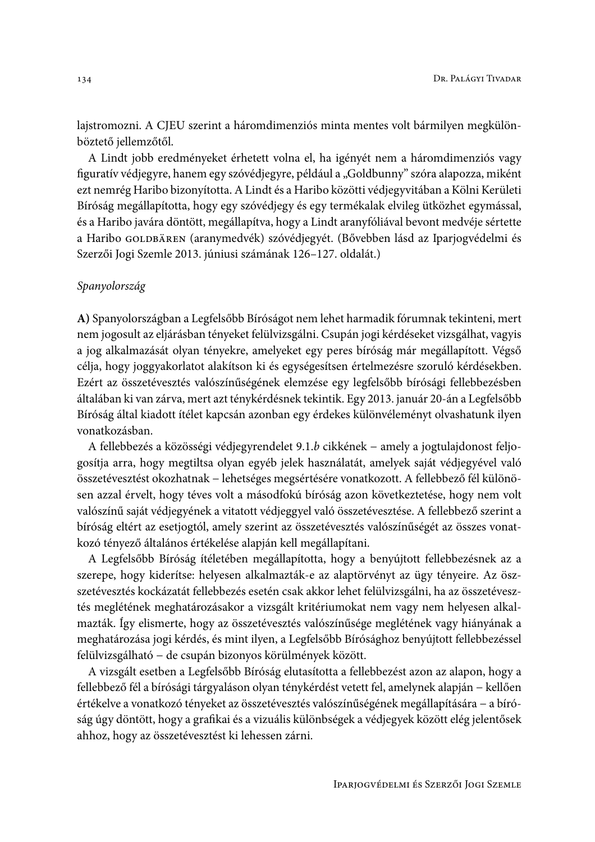lajstromozni. A CJEU szerint a háromdimenziós minta mentes volt bármilyen megkülönböztető jellemzőtől.

A Lindt jobb eredményeket érhetett volna el, ha igényét nem a háromdimenziós vagy figuratív védjegyre, hanem egy szóvédjegyre, például a "Goldbunny" szóra alapozza, miként ezt nemrég Haribo bizonyította. A Lindt és a Haribo közötti védjegyvitában a Kölni Kerületi Bíróság megállapította, hogy egy szóvédjegy és egy termékalak elvileg ütközhet egymással, és a Haribo javára döntött, megállapítva, hogy a Lindt aranyfóliával bevont medvéje sértette a Haribo GOLDBÄREN (aranymedvék) szóvédjegyét. (Bővebben lásd az Iparjogvédelmi és Szerzői Jogi Szemle 2013. júniusi számának 126-127. oldalát.)

# Spanyolország

A) Spanyolországban a Legfelsőbb Bíróságot nem lehet harmadik fórumnak tekinteni, mert nem jogosult az eljárásban tényeket felülvizsgálni. Csupán jogi kérdéseket vizsgálhat, vagyis a jog alkalmazását olyan tényekre, amelyeket egy peres bíróság már megállapított. Végső célja, hogy joggyakorlatot alakítson ki és egységesítsen értelmezésre szoruló kérdésekben. Ezért az összetévesztés valószínűségének elemzése egy legfelsőbb bírósági fellebbezésben általában ki van zárva, mert azt ténykérdésnek tekintik. Egy 2013. január 20-án a Legfelsőbb Bíróság által kiadott ítélet kapcsán azonban egy érdekes különvéleményt olvashatunk ilyen vonatkozásban.

A fellebbezés a közösségi védjegyrendelet 9.1.b cikkének – amely a jogtulajdonost feljogosítja arra, hogy megtiltsa olyan egyéb jelek használatát, amelyek saját védjegyével való összetévesztést okozhatnak – lehetséges megsértésére vonatkozott. A fellebbező fél különösen azzal érvelt, hogy téves volt a másodfokú bíróság azon következtetése, hogy nem volt valószínű saját védjegyének a vitatott védjeggyel való összetévesztése. A fellebbező szerint a bíróság eltért az esetjogtól, amely szerint az összetévesztés valószínűségét az összes vonatkozó tényező általános értékelése alapján kell megállapítani.

A Legfelsőbb Bíróság ítéletében megállapította, hogy a benyújtott fellebbezésnek az a szerepe, hogy kiderítse: helyesen alkalmazták-e az alaptörvényt az ügy tényeire. Az öszszetévesztés kockázatát fellebbezés esetén csak akkor lehet felülvizsgálni, ha az összetévesztés meglétének meghatározásakor a vizsgált kritériumokat nem vagy nem helyesen alkalmazták. Így elismerte, hogy az összetévesztés valószínűsége meglétének vagy hiányának a meghatározása jogi kérdés, és mint ilyen, a Legfelsőbb Bírósághoz benyújtott fellebbezéssel felülvizsgálható - de csupán bizonyos körülmények között.

A vizsgált esetben a Legfelsőbb Bíróság elutasította a fellebbezést azon az alapon, hogy a fellebbező fél a bírósági tárgyaláson olyan ténykérdést vetett fel, amelynek alapján – kellően értékelve a vonatkozó tényeket az összetévesztés valószínűségének megállapítására – a bíróság úgy döntött, hogy a grafikai és a vizuális különbségek a védjegyek között elég jelentősek ahhoz, hogy az összetévesztést ki lehessen zárni.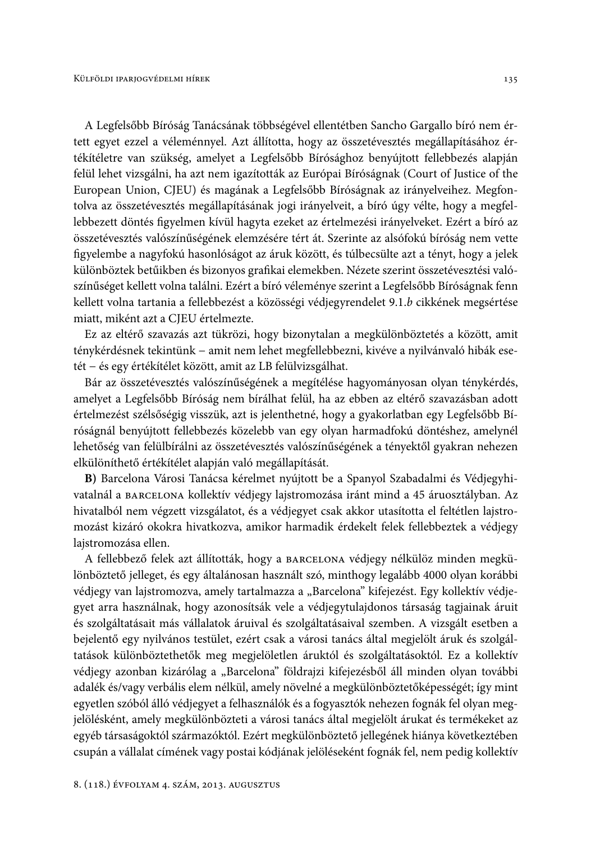A Legfelsőbb Bíróság Tanácsának többségével ellentétben Sancho Gargallo bíró nem értett egyet ezzel a véleménnyel. Azt állította, hogy az összetévesztés megállapításához értékítéletre van szükség, amelyet a Legfelsőbb Bírósághoz benyújtott fellebbezés alapján felül lehet vizsgálni, ha azt nem igazították az Európai Bíróságnak (Court of Justice of the European Union, CJEU) és magának a Legfelsőbb Bíróságnak az irányelveihez. Megfontolva az összetévesztés megállapításának jogi irányelveit, a bíró úgy vélte, hogy a megfellebbezett döntés figyelmen kívül hagyta ezeket az értelmezési irányelveket. Ezért a bíró az összetévesztés valószínűségének elemzésére tért át. Szerinte az alsófokú bíróság nem vette figyelembe a nagyfokú hasonlóságot az áruk között, és túlbecsülte azt a tényt, hogy a jelek különböztek betűikben és bizonyos grafikai elemekben. Nézete szerint összetévesztési valószínűséget kellett volna találni. Ezért a bíró véleménye szerint a Legfelsőbb Bíróságnak fenn kellett volna tartania a fellebbezést a közösségi védjegyrendelet 9.1.b cikkének megsértése miatt, miként azt a CIEU értelmezte.

Ez az eltérő szavazás azt tükrözi, hogy bizonytalan a megkülönböztetés a között, amit ténykérdésnek tekintünk – amit nem lehet megfellebbezni, kivéve a nyilvánvaló hibák esetét – és egy értékítélet között, amit az LB felülvizsgálhat.

Bár az összetévesztés valószínűségének a megítélése hagyományosan olyan ténykérdés, amelyet a Legfelsőbb Bíróság nem bírálhat felül, ha az ebben az eltérő szavazásban adott értelmezést szélsőségig visszük, azt is jelenthetné, hogy a gyakorlatban egy Legfelsőbb Bíróságnál benyújtott fellebbezés közelebb van egy olyan harmadfokú döntéshez, amelynél lehetőség van felülbírálni az összetévesztés valószínűségének a tényektől gyakran nehezen elkülöníthető értékítélet alapján való megállapítását.

B) Barcelona Városi Tanácsa kérelmet nyújtott be a Spanyol Szabadalmi és Védjegyhivatalnál a BARCELONA kollektív védjegy lajstromozása iránt mind a 45 áruosztályban. Az hivatalból nem végzett vizsgálatot, és a védjegyet csak akkor utasította el feltétlen lajstromozást kizáró okokra hivatkozva, amikor harmadik érdekelt felek fellebbeztek a védjegy lajstromozása ellen.

A fellebbező felek azt állították, hogy a BARCELONA védjegy nélkülöz minden megkülönböztető jelleget, és egy általánosan használt szó, minthogy legalább 4000 olyan korábbi védjegy van lajstromozva, amely tartalmazza a "Barcelona" kifejezést. Egy kollektív védjegyet arra használnak, hogy azonosítsák vele a védjegytulajdonos társaság tagjainak áruit és szolgáltatásait más vállalatok áruival és szolgáltatásaival szemben. A vizsgált esetben a bejelentő egy nyilvános testület, ezért csak a városi tanács által megjelölt áruk és szolgáltatások különböztethetők meg megjelöletlen áruktól és szolgáltatásoktól. Ez a kollektív védjegy azonban kizárólag a "Barcelona" földrajzi kifejezésből áll minden olyan további adalék és/vagy verbális elem nélkül, amely növelné a megkülönböztetőképességét; így mint egyetlen szóból álló védjegyet a felhasználók és a fogyasztók nehezen fognák fel olyan megjelölésként, amely megkülönbözteti a városi tanács által megjelölt árukat és termékeket az egyéb társaságoktól származóktól. Ezért megkülönböztető jellegének hiánya következtében csupán a vállalat címének vagy postai kódjának jelöléseként fognák fel, nem pedig kollektív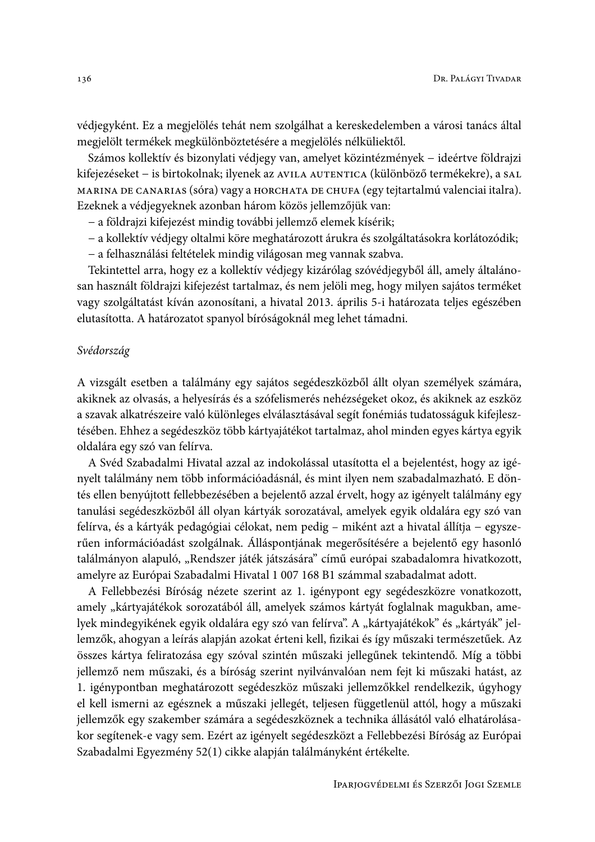védjegyként. Ez a megjelölés tehát nem szolgálhat a kereskedelemben a városi tanács által megjelölt termékek megkülönböztetésére a megjelölés nélküliektől.

Számos kollektív és bizonylati védjegy van, amelyet közintézmények – ideértve földrajzi kifejezéseket – is birtokolnak; ilyenek az AVILA AUTENTICA (különböző termékekre), a SAL MARINA DE CANARIAS (sóra) vagy a HORCHATA DE CHUFA (egy tejtartalmú valenciai italra). Ezeknek a védjegyeknek azonban három közös jellemzőjük van:

- a földrajzi kifejezést mindig további jellemző elemek kísérik;
- a kollektív védjegy oltalmi köre meghatározott árukra és szolgáltatásokra korlátozódik;
- a felhasználási feltételek mindig világosan meg vannak szabva.

Tekintettel arra, hogy ez a kollektív védjegy kizárólag szóvédjegyből áll, amely általánosan használt földrajzi kifejezést tartalmaz, és nem jelöli meg, hogy milyen sajátos terméket vagy szolgáltatást kíván azonosítani, a hivatal 2013. április 5-i határozata teljes egészében elutasította. A határozatot spanyol bíróságoknál meg lehet támadni.

#### Svédország

A vizsgált esetben a találmány egy sajátos segédeszközből állt olyan személyek számára, akiknek az olvasás, a helyesírás és a szófelismerés nehézségeket okoz, és akiknek az eszköz a szavak alkatrészeire való különleges elválasztásával segít fonémiás tudatosságuk kifejlesztésében. Ehhez a segédeszköz több kártyajátékot tartalmaz, ahol minden egyes kártya egyik oldalára egy szó van felírva.

A Svéd Szabadalmi Hivatal azzal az indokolással utasította el a bejelentést, hogy az igényelt találmány nem több információadásnál, és mint ilyen nem szabadalmazható. E döntés ellen benyújtott fellebbezésében a bejelentő azzal érvelt, hogy az igényelt találmány egy tanulási segédeszközből áll olyan kártyák sorozatával, amelyek egyik oldalára egy szó van felírva, és a kártyák pedagógiai célokat, nem pedig – miként azt a hivatal állítja – egyszerűen információadást szolgálnak. Álláspontjának megerősítésére a bejelentő egy hasonló találmányon alapuló, "Rendszer játék játszására" című európai szabadalomra hivatkozott, amelyre az Európai Szabadalmi Hivatal 1 007 168 B1 számmal szabadalmat adott.

A Fellebbezési Bíróság nézete szerint az 1. igénypont egy segédeszközre vonatkozott, amely "kártyajátékok sorozatából áll, amelyek számos kártyát foglalnak magukban, amelyek mindegyikének egyik oldalára egy szó van felírva". A "kártyajátékok" és "kártyák" jellemzők, ahogyan a leírás alapján azokat érteni kell, fizikai és így műszaki természetűek. Az összes kártya feliratozása egy szóval szintén műszaki jellegűnek tekintendő. Míg a többi jellemző nem műszaki, és a bíróság szerint nyilvánvalóan nem fejt ki műszaki hatást, az 1. igénypontban meghatározott segédeszköz műszaki jellemzőkkel rendelkezik, úgyhogy el kell ismerni az egésznek a műszaki jellegét, teljesen függetlenül attól, hogy a műszaki jellemzők egy szakember számára a segédeszköznek a technika állásától való elhatárolásakor segítenek-e vagy sem. Ezért az igényelt segédeszközt a Fellebbezési Bíróság az Európai Szabadalmi Egyezmény 52(1) cikke alapján találmányként értékelte.